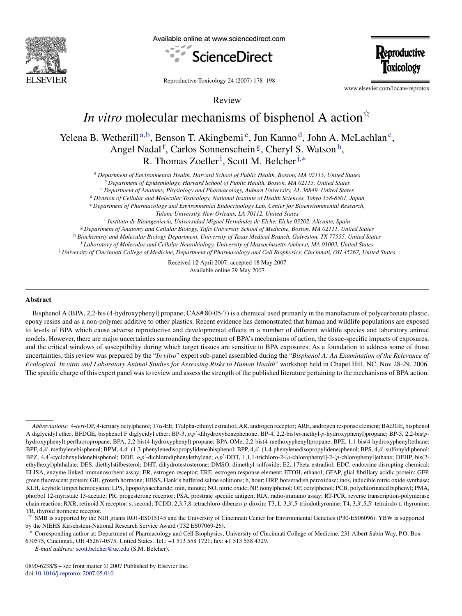

Available online at www.sciencedirect.com



**Reproductive** Toxicology

Reproductive Toxicology 24 (2007) 178–198

www.elsevier.com/locate/reprotox

Review

# *In vitro* molecular mechanisms of bisphenol A action<sup> $\dot{\alpha}$ </sup>

<span id="page-0-5"></span><span id="page-0-4"></span><span id="page-0-3"></span><span id="page-0-2"></span><span id="page-0-1"></span><span id="page-0-0"></span>Yelena [B](#page-0-1). Wetherill<sup>a,b</sup>, Benson T. Akingbemi<sup>c</sup>, [Ju](#page-0-2)n Kanno<sup>d</sup>, [Jo](#page-0-3)hn A. McLachlan<sup>e</sup>, Angel Nadal<sup>f</sup>[,](#page-0-5) [C](#page-0-6)arlos Sonnenschein<sup>g</sup>, Cheryl S. Watson<sup>h</sup>, R. Thomas Zoeller<sup>i</sup>[,](#page-0-9) [Sc](#page-0-8)ott M. Belcher<sup>j,\*</sup>

<sup>a</sup> *Department of Environmental Health, Harvard School of Public Health, Boston, MA 02115, United States*

<sup>b</sup> *Department of Epidemiology, Harvard School of Public Health, Boston, MA 02115, United States*

<sup>c</sup> *Department of Anatomy, Physiology and Pharmacology, Auburn University, AL 36849, United States*

<sup>d</sup> *Division of Cellular and Molecular Toxicology, National Institute of Health Sciences, Tokyo 158-8501, Japan*

<sup>e</sup> *Department of Pharmacology and Environmental Endocrinology Lab, Center for Bioenvironmental Research,*

*Tulane University, New Orleans, LA 70112, United States*

<span id="page-0-9"></span><span id="page-0-8"></span><span id="page-0-7"></span><span id="page-0-6"></span><sup>f</sup> *Instituto de Bioingenier´ıa, Universidad Miguel Hern´andez de Elche, Elche 03202, Alicante, Spain* <sup>g</sup> *Department of Anatomy and Cellular Biology, Tufts University School of Medicine, Boston, MA 02111, United States* <sup>h</sup> *Biochemisty and Molecular Biology Department, University of Texas Medical Branch, Galveston, TX 77555, United States* <sup>i</sup> *Laboratory of Molecular and Cellular Neurobiology, University of Massachusetts Amherst, MA 01003, United States* <sup>j</sup> *University of Cincinnati College of Medicine, Department of Pharmacology and Cell Biophysics, Cincinnati, OH 45267, United States*

> Received 12 April 2007; accepted 18 May 2007 Available online 29 May 2007

#### **Abstract**

Bisphenol A (BPA, 2,2-bis (4-hydroxyphenyl) propane; CAS# 80-05-7) is a chemical used primarily in the manufacture of polycarbonate plastic, epoxy resins and as a non-polymer additive to other plastics. Recent evidence has demonstrated that human and wildlife populations are exposed to levels of BPA which cause adverse reproductive and developmental effects in a number of different wildlife species and laboratory animal models. However, there are major uncertainties surrounding the spectrum of BPA's mechanisms of action, the tissue-specific impacts of exposures, and the critical windows of susceptibility during which target tissues are sensitive to BPA exposures. As a foundation to address some of those uncertainties, this review was prepared by the "*In vitro*" expert sub-panel assembled during the "*Bisphenol A: An Examination of the Relevance of Ecological, In vitro and Laboratory Animal Studies for Assessing Risks to Human Health*" workshop held in Chapel Hill, NC, Nov 28-29, 2006. The specific charge of this expert panel was to review and assess the strength of the published literature pertaining to the mechanisms of BPA action.

*Abbreviations:* 4-*tert*-OP, 4-tertiary octylphenol; 17α-EE, 17alpha-ethinyl estradiol; AR, androgen receptor; ARE, androgen response element; BADGE, bisphenol A diglycidyl ether; BFDGE, bisphenol F diglycidyl ether; BP-3, *p,p*" -dihydroxybenzphenone; BP-4, 2,2-bis(*m*-methyl-*p*-hydroxyphenyl)propane; BP-5, 2,2-bis(*p*hydroxyphenyl) perfluoropropane; BPA, 2,2-bis(4-hydroxyphenyl) propane; BPA-OMe, 2,2-bis(4-methoxyphenyl)propane; BPE, 1,1-bis(4-hydroxyphenyl)ethane; BPF, 4,4'-methylenebisphenol; BPM, 4,4'-(1,3-phenylenedisopropylidene)bisphenol; BPP, 4,4'-(1,4-phenylenedisopropylidene)phenol; BPS, 4,4'-sulfonyldiphenol; BPZ, 4,4'-cyclohexylidenebisphenol; DDE, *o*,*p'*-dichlorodiphenylethylene; *o*,*p'*-DDT, 1,1,1-trichloro-2-[*o*-chlorophenyl]-2-[*p*-chlorophenyl]ethane; DEHP, bis(2ethylhexyl)phthalate; DES, diethylstilbesterol; DHT, dihydrotestosterone; DMSO, dimethyl sulfoxide; E2, 17beta-estradiol; EDC, endocrine disrupting chemical; ELISA, enzyme-linked immunosorbent assay; ER, estrogen receptor; ERE, estrogen response element; ETOH, ethanol; GFAP, glial fibrillary acidic protein; GFP, green fluorescent protein; GH, growth hormone; HBSS, Hank's buffered saline solutions; h, hour; HRP, horseradish peroxidase; inos, inducible nitric oxide synthase; KLH, keyhole limpet hemocyanin; LPS, lipopolysaccharide; min, minute; NO, nitric oxide; NP, nonylphenol; OP, octylphenol; PCB, polychlorinated biphenyl; PMA, phorbol 12-myristate 13-acetate; PR, progesterone receptor; PSA, prostrate specific antigen; RIA, radio-immuno assay; RT-PCR, reverse transcription-polymerase chain reaction; RXR, retinoid X receptor; s, second; TCDD, 2,3,7,8-tetrachloro-dibenzo-p-dioxin; T3, L-3,3',5-triiodothyronine; T4, 3,3',5,5'-tetraiodo-L-thyronine; TR, thyroid hormone receptor.

<span id="page-0-10"></span><sup>!</sup> SMB is supported by the NIH grants RO1-ES015145 and the University of Cincinnati Center for Environmental Genetics (P30-ES06096). YBW is supported by the NIEHS Kirschstein-National Research Service Award (T32 ES07069-26).

<sup>∗</sup> Corresponding author at: Department of Pharmacology and Cell Biophysics, University of Cincinnati College of Medicine, 231 Albert Sabin Way, P.O. Box 670575, Cincinnati, OH 45267-0575, Untied States. Tel.: +1 513 558 1721; fax: +1 513 558 4329.

*E-mail address:* [scott.belcher@uc.edu](mailto:scott.belcher@uc.edu) (S.M. Belcher).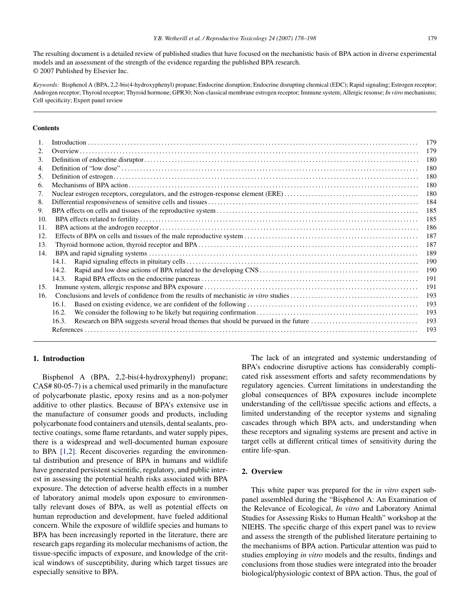The resulting document is a detailed review of published studies that have focused on the mechanistic basis of BPA action in diverse experimental models and an assessment of the strength of the evidence regarding the published BPA research. © 2007 Published by Elsevier Inc.

*Keywords:* Bisphenol A (BPA, 2,2-bis(4-hydroxyphenyl) propane; Endocrine disruption; Endocrine disrupting chemical (EDC); Rapid signaling; Estrogen receptor; Androgen receptor; Thyroid receptor; Thyroid hormone; GPR30; Non-classical membrane estrogen receptor; Immune system; Allergic resonse; *In vitro* mechanisms; Cell specificity; Expert panel review

### **Contents**

|                  |       | 179 |  |  |  |  |  |
|------------------|-------|-----|--|--|--|--|--|
| 2.               |       | 179 |  |  |  |  |  |
| 3.               |       | 180 |  |  |  |  |  |
| $\overline{4}$ . |       | 180 |  |  |  |  |  |
| 5.               |       | 180 |  |  |  |  |  |
| 6.               |       | 180 |  |  |  |  |  |
| 7.               |       | 180 |  |  |  |  |  |
| 8.               |       | 184 |  |  |  |  |  |
| 9.               |       | 185 |  |  |  |  |  |
| 10.              | 185   |     |  |  |  |  |  |
| 11.              | 186   |     |  |  |  |  |  |
| 12.              | 187   |     |  |  |  |  |  |
| 13.              | 187   |     |  |  |  |  |  |
| 14.              | 189   |     |  |  |  |  |  |
|                  | 14.1. | 190 |  |  |  |  |  |
|                  | 14.2. | 190 |  |  |  |  |  |
|                  | 14.3. | 191 |  |  |  |  |  |
| 15.              |       | 191 |  |  |  |  |  |
| 16.              |       | 193 |  |  |  |  |  |
|                  | 16.1. | 193 |  |  |  |  |  |
|                  | 16.2. | 193 |  |  |  |  |  |
|                  | 16.3. | 193 |  |  |  |  |  |
|                  |       | 193 |  |  |  |  |  |
|                  |       |     |  |  |  |  |  |

## **1. Introduction**

Bisphenol A (BPA, 2,2-bis(4-hydroxyphenyl) propane; CAS# 80-05-7) is a chemical used primarily in the manufacture of polycarbonate plastic, epoxy resins and as a non-polymer additive to other plastics. Because of BPA's extensive use in the manufacture of consumer goods and products, including polycarbonate food containers and utensils, dental sealants, protective coatings, some flame retardants, and water supply pipes, there is a widespread and well-documented human exposure to BPA [\[1,2\].](#page-15-0) Recent discoveries regarding the environmental distribution and presence of BPA in humans and wildlife have generated persistent scientific, regulatory, and public interest in assessing the potential health risks associated with BPA exposure. The detection of adverse health effects in a number of laboratory animal models upon exposure to environmentally relevant doses of BPA, as well as potential effects on human reproduction and development, have fueled additional concern. While the exposure of wildlife species and humans to BPA has been increasingly reported in the literature, there are research gaps regarding its molecular mechanisms of action, the tissue-specific impacts of exposure, and knowledge of the critical windows of susceptibility, during which target tissues are especially sensitive to BPA.

The lack of an integrated and systemic understanding of BPA's endocrine disruptive actions has considerably complicated risk assessment efforts and safety recommendations by regulatory agencies. Current limitations in understanding the global consequences of BPA exposures include incomplete understanding of the cell/tissue specific actions and effects, a limited understanding of the receptor systems and signaling cascades through which BPA acts, and understanding when these receptors and signaling systems are present and active in target cells at different critical times of sensitivity during the entire life-span.

### **2. Overview**

This white paper was prepared for the *in vitro* expert subpanel assembled during the "Bisphenol A: An Examination of the Relevance of Ecological, *In vitro* and Laboratory Animal Studies for Assessing Risks to Human Health" workshop at the NIEHS. The specific charge of this expert panel was to review and assess the strength of the published literature pertaining to the mechanisms of BPA action. Particular attention was paid to studies employing *in vitro* models and the results, findings and conclusions from those studies were integrated into the broader biological/physiologic context of BPA action. Thus, the goal of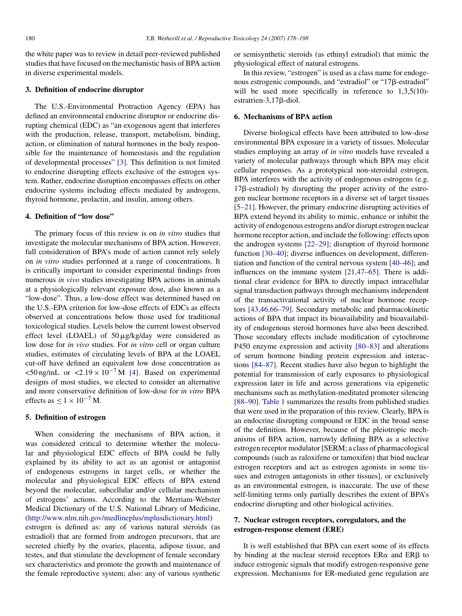the white paper was to review in detail peer-reviewed published studies that have focused on the mechanistic basis of BPA action in diverse experimental models.

#### **3. Definition of endocrine disruptor**

The U.S.-Environmental Protraction Agency (EPA) has defined an environmental endocrine disruptor or endocrine disrupting chemical (EDC) as "an exogenous agent that interferes with the production, release, transport, metabolism, binding, action, or elimination of natural hormones in the body responsible for the maintenance of homeostasis and the regulation of developmental processes" [\[3\].](#page-16-0) This definition is not limited to endocrine disrupting effects exclusive of the estrogen system. Rather, endocrine disruption encompasses effects on other endocrine systems including effects mediated by androgens, thyroid hormone, prolactin, and insulin, among others.

### **4. Definition of "low dose"**

The primary focus of this review is on *in vitro* studies that investigate the molecular mechanisms of BPA action. However, full consideration of BPA's mode of action cannot rely solely on *in vitro* studies performed at a range of concentrations. It is critically important to consider experimental findings from numerous *in vivo* studies investigating BPA actions in animals at a physiologically relevant exposure dose, also known as a "low-dose". Thus, a low-dose effect was determined based on the U.S.-EPA criterion for low-dose effects of EDCs as effects observed at concentrations below those used for traditional toxicological studies. Levels below the current lowest observed effect level (LOAEL) of  $50 \mu g/kg/day$  were considered as low dose for *in vivo* studies. For *in vitro* cell or organ culture studies, estimates of circulating levels of BPA at the LOAEL cut-off have defined an equivalent low dose concentration as  $50$  ng/mL or  $\lt 2.19 \times 10^{-7}$  M [\[4\].](#page-16-1) Based on experimental designs of most studies, we elected to consider an alternative and more conservative definition of low-dose for *in vitro* BPA effects as  $\leq 1 \times 10^{-7}$  M.

## **5. Definition of estrogen**

When considering the mechanisms of BPA action, it was considered critical to determine whether the molecular and physiological EDC effects of BPA could be fully explained by its ability to act as an agonist or antagonist of endogenous estrogens in target cells, or whether the molecular and physiological EDC effects of BPA extend beyond the molecular, subcellular and/or cellular mechanism of estrogens' actions. According to the Merriam-Webster Medical Dictionary of the U.S. National Library of Medicine, [\(http://www.nlm.nih.gov/medlineplus/mplusdictionary.html](http://www.nlm.nih.gov/medlineplus/mplusdictionary.html))

estrogen is defined as: any of various natural steroids (as estradiol) that are formed from androgen precursors, that are secreted chiefly by the ovaries, placenta, adipose tissue, and testes, and that stimulate the development of female secondary sex characteristics and promote the growth and maintenance of the female reproductive system; also: any of various synthetic

or semisynthetic steroids (as ethinyl estradiol) that mimic the physiological effect of natural estrogens.

In this review, "estrogen" is used as a class name for endogenous estrogenic compounds, and "estradiol" or "17 $\beta$ -estradiol" will be used more specifically in reference to 1,3,5(10)estratrien- $3,17\beta$ -diol.

### **6. Mechanisms of BPA action**

Diverse biological effects have been attributed to low-dose environmental BPA exposure in a variety of tissues. Molecular studies employing an array of *in vitro* models have revealed a variety of molecular pathways through which BPA may elicit cellular responses. As a prototypical non-steroidal estrogen, BPA interferes with the activity of endogenous estrogens (e.g.  $17\beta$ -estradiol) by disrupting the proper activity of the estrogen nuclear hormone receptors in a diverse set of target tissues [\[5–21\].](#page-16-2) However, the primary endocrine disrupting activities of BPA extend beyond its ability to mimic, enhance or inhibit the activity of endogenous estrogens and/or disrupt estrogen nuclear hormone receptor action, and include the following: effects upon the androgen systems [\[22–29\];](#page-16-3) disruption of thyroid hormone function [\[30–40\];](#page-16-4) diverse influences on development, differentiation and function of the central nervous system [\[40–46\];](#page-16-5) and influences on the immune system [\[21,47–65\].](#page-16-6) There is additional clear evidence for BPA to directly impact intracellular signal transduction pathways through mechanisms independent of the transactivational activity of nuclear hormone receptors [\[43,46,66–79\].](#page-17-0) Secondary metabolic and pharmacokinetic actions of BPA that impact its bioavailability and bioavailability of endogenous steroid hormones have also been described. Those secondary effects include modification of cytochrome P450 enzyme expression and activity [\[80–83\]](#page-18-0) and alterations of serum hormone binding protein expression and interactions [\[84–87\].](#page-18-1) Recent studies have also begun to highlight the potential for transmission of early exposures to physiological expression later in life and across generations via epigenetic mechanisms such as methylation-meditated promoter silencing [\[88–90\].](#page-18-2) [Table 1](#page-3-0) summarizes the results from published studies that were used in the preparation of this review. Clearly, BPA is an endocrine disrupting compound or EDC in the broad sense of the definition. However, because of the pleiotropic mechanisms of BPA action, narrowly defining BPA as a selective estrogen receptor modulator [SERM; a class of pharmacological compounds (such as raloxifene or tamoxifen) that bind nuclear estrogen receptors and act as estrogen agonists in some tissues and estrogen antagonists in other tissues], or exclusively as an environmental estrogen, is inaccurate. The use of these self-limiting terms only partially describes the extent of BPA's endocrine disrupting and other biological activities.

# **7. Nuclear estrogen receptors, coregulators, and the estrogen-response element (ERE)**

It is well established that BPA can exert some of its effects by binding at the nuclear steroid receptors  $ER\alpha$  and  $ER\beta$  to induce estrogenic signals that modify estrogen-responsive gene expression. Mechanisms for ER-mediated gene regulation are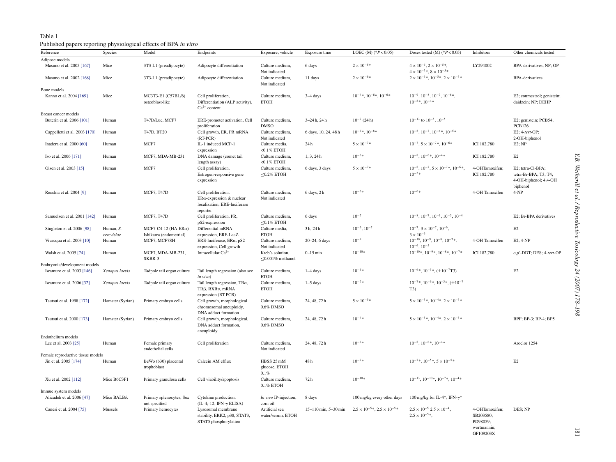### Table 1 Published papers reporting physiological effects of BPA *in vitro*

<span id="page-3-0"></span>

| Reference                         | Species                 | Model                                     | Endpoints                                                                                           | Exposure; vehicle                          | Exposure time        | LOEC (M) $(*P<0.05)$                        | Doses tested (M) $(*P<0.05)$                                                          | Inhibitors                                                          | Other chemicals tested                                                          |
|-----------------------------------|-------------------------|-------------------------------------------|-----------------------------------------------------------------------------------------------------|--------------------------------------------|----------------------|---------------------------------------------|---------------------------------------------------------------------------------------|---------------------------------------------------------------------|---------------------------------------------------------------------------------|
| Adipose models                    |                         |                                           |                                                                                                     |                                            |                      |                                             |                                                                                       |                                                                     |                                                                                 |
| Masuno et al. 2005 [167]          | Mice                    | 3T3-L1 (preadipocyte)                     | Adipocyte differentiation                                                                           | Culture medium,<br>Not indicated           | 6 days               | $2 \times 10^{-5}$ *                        | $4 \times 10^{-6}$ , $2 \times 10^{-5}$ *,<br>$4 \times 10^{-5}$ , $8 \times 10^{-5}$ | LY294002                                                            | BPA-derivatives; NP; OP                                                         |
| Masuno et al. 2002 [168]          | Mice                    | 3T3-L1 (preadipocyte)                     | Adipocyte differentiation                                                                           | Culture medium,<br>Not indicated           | 11 days              | $2 \times 10^{-6}$ *                        | $2 \times 10^{-6}$ *, $10^{-5}$ *, $2 \times 10^{-5}$ *                               |                                                                     | <b>BPA</b> -derivatives                                                         |
| Bone models                       |                         |                                           |                                                                                                     |                                            |                      |                                             |                                                                                       |                                                                     |                                                                                 |
| Kanno et al. 2004 [169]           | Mice                    | MC3T3-E1 (C57BL/6)<br>osteoblast-like     | Cell proliferation,<br>Differentiation (ALP activity),<br>$Ca^{2+}$ content                         | Culture medium,<br><b>ETOH</b>             | 3-4 days             | $10^{-4*}$ , $10^{-6*}$ , $10^{-6*}$        | $10^{-9}$ , $10^{-8}$ , $10^{-7}$ , $10^{-6}$ *,<br>$10^{-5}$ *, $10^{-4}$ *          |                                                                     | E2; coumestrol; genistein;<br>daidzein; NP; DEHP                                |
| Breast cancer models              |                         |                                           |                                                                                                     |                                            |                      |                                             |                                                                                       |                                                                     |                                                                                 |
| Buterin et al. 2006 [101]         | Human                   | T47D/Luc, MCF7                            | ERE-promoter activation, Cell<br>proliferation                                                      | Culture medium,<br><b>DMSO</b>             | $3 - 24 h$ , $24 h$  | $10^{-7}$ (24 h)                            | $10^{-13}$ to $10^{-5}$ , $10^{-5}$                                                   |                                                                     | E2; genistein; PCB54;<br><b>PCB126</b>                                          |
| Cappelletti et al. 2003 [170]     | Human                   | T47D, BT20                                | Cell growth, ER, PR mRNA<br>$(RT-PCR)$                                                              | Culture medium,<br>Not indicated           | 6 days, 10, 24, 48 h | $10^{-6}$ , $10^{-8}$                       | $10^{-8}$ , $10^{-7}$ , $10^{-6}$ , $10^{-5}$                                         |                                                                     | E2; 4-tert-OP;<br>2-OH-biphenol                                                 |
| Inadera et al. 2000 [60]          | Human                   | MCF7                                      | IL-1 induced MCP-1<br>expression                                                                    | Culture media,<br>$<$ 0.1% ETOH            | 24h                  | $5 \times 10^{-7}$ *                        | $10^{-7}$ , $5 \times 10^{-7}$ , $10^{-6}$                                            | <b>ICI 182,780</b>                                                  | $E2$ ; NP                                                                       |
| Iso et al. 2006 [171]             | Human                   | MCF7, MDA-MB-231                          | DNA damage (comet tail<br>length assay)                                                             | Culture medium,<br>${<}0.1\%$ ETOH         | 1, 3, 24h            | $10^{-6*}$                                  | $10^{-8}$ , $10^{-6}$ , $10^{-4}$                                                     | ICI 182,780                                                         | E2                                                                              |
| Olsen et al. 2003 [15]            | Human                   | MCF7                                      | Cell proliferation,<br>Estrogen-responsive gene<br>expression                                       | Culture medium,<br>$≤0.2\%$ ETOH           | 6 days, 3 days       | $5 \times 10^{-7} *$                        | $10^{-8}$ , $10^{-7}$ , $5 \times 10^{-7}$ , $10^{-6}$ ,<br>$10^{-5*}$                | 4-OHTamoxifen;<br>ICI 182,780                                       | E2; tetra-Cl-BPA;<br>tetra-Br-BPA; T3; T4;<br>4-OH-biphenol; 4,4-OH<br>biphenol |
| Recchia et al. 2004 [9]           | Human                   | <b>MCF7, T47D</b>                         | Cell proliferation,<br>$ER\alpha$ -expression & nuclear<br>localization, ERE-luciferase<br>reporter | Culture medium,<br>Not indicated           | 6 days, 2h           | $10^{-6*}$                                  | $10^{-6*}$                                                                            | 4-OH Tamoxifen                                                      | $4-NP$                                                                          |
| Samuelsen et al. 2001 [142]       | Human                   | MCF7, T47D                                | Cell proliferation, PR,<br>pS2-expression                                                           | Culture medium,<br>$≤0.1\%$ ETOH           | 6 days               | $10^{-7}$                                   | $10^{-8}$ , $10^{-7}$ , $10^{-6}$ , $10^{-5}$ , $10^{-4}$                             |                                                                     | E2; Br-BPA derivatives                                                          |
| Singleton et al. 2006 [98]        | Human, S.<br>cerevisiae | MCF7-C4-12 (HA-ER $\alpha$ )              | Differential mRNA<br>expression, ERE-LacZ                                                           | Culture media,<br><b>ETOH</b>              | 3h, 24h              | $10^{-6}$ , $10^{-7}$                       | $10^{-7}$ , $3 \times 10^{-7}$ , $10^{-6}$ ,<br>$3 \times 10^{-6}$                    |                                                                     | E2                                                                              |
| Vivacqua et al. 2003 [10]         | Human                   | Ishikawa (endometrial)<br>MCF7, MCF7SH    | ERE-luciferase, $ER\alpha$ , pS2<br>expression, Cell growth                                         | Culture medium,<br>Not indicated           | 20-24, 6 days        | $10^{-9}$                                   | $10^{-10}$ , $10^{-9}$ , $10^{-8}$ , $10^{-7}$ *,<br>$10^{-6}$ , $10^{-5}$            | 4-OH Tamoxifen                                                      | $E2$ ; 4-NP                                                                     |
| Walsh et al. 2005 [74]            | Human                   | MCF7, MDA-MB-231,<br>SKBR-3               | Intracellular $Ca^{2+}$                                                                             | Kreb's solution,<br>$\leq$ 0.001% methanol | $0 - 15$ min         | $10^{-10}\ast$                              | $10^{-10}$ *, $10^{-9}$ *, $10^{-8}$ *, $10^{-7}$ *                                   | ICI 182,780                                                         | $o, p'$ -DDT; DES; 4-tert-OP                                                    |
| Embryonic/development models      |                         |                                           |                                                                                                     |                                            |                      |                                             |                                                                                       |                                                                     |                                                                                 |
| Iwamuro et al. 2003 [146]         | Xenopus laevis          | Tadpole tail organ culture                | Tail length regression (also see<br>$in vivo$ )                                                     | Culture medium,<br><b>ETOH</b>             | $1-4$ days           | $10^{-6*}$                                  | $10^{-6*}$ , $10^{-5*}$ , $(\pm 10^{-7}$ T3)                                          |                                                                     | E2                                                                              |
| Iwamuro et al. 2006 [32]          | Xenopus laevis          | Tadpole tail organ culture                | Tail length regression, $TR\alpha$ ,<br>TRβ, RXRγ, mRNA<br>expression (RT-PCR)                      | Culture medium,<br><b>ETOH</b>             | $1-5$ days           | $10^{-7*}$                                  | $10^{-7}$ *, $10^{-6}$ *, $10^{-5}$ *, $(\pm 10^{-7})$<br>T3)                         |                                                                     |                                                                                 |
| Tsutsui et al. 1998 [172]         | Hamster (Syrian)        | Primary embryo cells                      | Cell growth, morphological<br>chromosomal aneuploidy,<br>DNA adduct formation                       | Culture medium,<br>$0.6\%$ DMSO            | 24, 48, 72h          | $5\times10^{-5}\ast$                        | $5 \times 10^{-5}$ *, $10^{-4}$ *, $2 \times 10^{-5}$ *                               |                                                                     |                                                                                 |
| Tsutsui et al. 2000 [173]         | Hamster (Syrian)        | Primary embryo cells                      | Cell growth, morphological,<br>DNA adduct formation,<br>aneuploidy                                  | Culture medium,<br>0.6% DMSO               | 24, 48, 72h          | $10^{-4}$ *                                 | $5 \times 10^{-5}$ *, $10^{-4}$ *, $2 \times 10^{-5}$ *                               |                                                                     | BPF; BP-3; BP-4; BP5                                                            |
| Endothelium models                |                         |                                           |                                                                                                     |                                            |                      |                                             |                                                                                       |                                                                     |                                                                                 |
| Lee et al. 2003 [25]              | Human                   | Female primary<br>endothelial cells       | Cell proliferation                                                                                  | Culture medium,<br>Not indicated           | 24, 48, 72h          | $10^{-6*}$                                  | $10^{-8}$ , $10^{-6}$ *, $10^{-4}$ *                                                  |                                                                     | Aroclor 1254                                                                    |
| Female reproductive tissue models |                         |                                           |                                                                                                     |                                            |                      |                                             |                                                                                       |                                                                     |                                                                                 |
| Jin et al. 2005 [174]             | Human                   | BeWo (b30) placental<br>trophoblast       | Calcein AM efflux                                                                                   | HBSS 25 mM<br>glucose, ETOH<br>0.1%        | 48h                  | $10^{-7*}$                                  | $10^{-7}$ *, $10^{-5}$ *, $5 \times 10^{-5}$ *                                        |                                                                     | E2                                                                              |
| Xu et al. 2002 [112]              | Mice B6C3F1             | Primary granulosa cells                   | Cell viability/apoptosis                                                                            | Culture medium,<br>$0.1\%$ ETOH            | 72h                  | $10^{-10*}$                                 | $10^{-13}$ , $10^{-10}$ *, $10^{-7}$ *, $10^{-4}$ *                                   |                                                                     |                                                                                 |
| Immue system models               |                         |                                           |                                                                                                     |                                            |                      |                                             |                                                                                       |                                                                     |                                                                                 |
| Alizadeh et al. 2006 [47]         | Mice BALB/c             | Primary splenocytes; Sex<br>not specified | Cytokine production,<br>$(IL-4;-12; IFN-\gamma ELISA)$                                              | In vivo IP-injection,<br>corn oil          | 8 days               | 100 mg/kg every other days                  | 100 mg/kg for IL-4*; IFN- $\gamma^*$                                                  |                                                                     |                                                                                 |
| Canesi et al. 2004 [75]           | Mussels                 | Primary hemocytes                         | Lysosomal membrane<br>stability, ERK2, p38, STAT3,<br>STAT5 phosphorylation                         | Artificial sea<br>water/serum, ETOH        | 15-110 min, 5-30 min | $2.5 \times 10^{-5}$ , $2.5 \times 10^{-5}$ | $2.5 \times 10^{-5}$ $2.5 \times 10^{-4}$ ,<br>$2.5 \times 10^{-5}$ *,                | 4-OHTamoxifen;<br>SB203580;<br>PD98059;<br>wortmannin;<br>GF109203X | DES; NP                                                                         |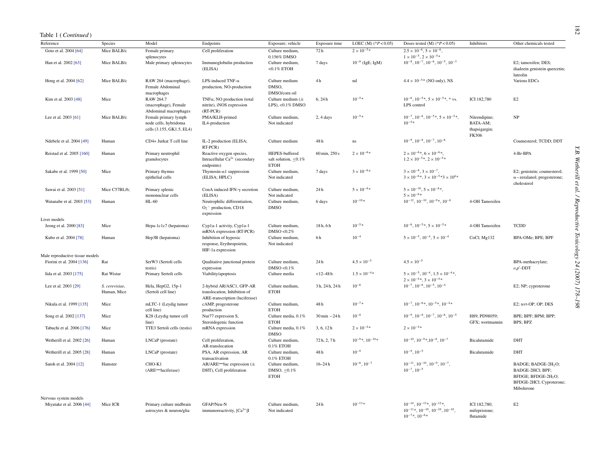## Table 1 (*Continued* )

| Reference                                          | Species                       | Model                                                                      | Endpoints                                                                                  | Exposure; vehicle                                            | Exposure time                  | LOEC (M) $(*P<0.05)$      | Doses tested (M) $(*P<0.05)$                                                                                               | Inhibitors                                                 | Other chemicals tested                                                                                                           |
|----------------------------------------------------|-------------------------------|----------------------------------------------------------------------------|--------------------------------------------------------------------------------------------|--------------------------------------------------------------|--------------------------------|---------------------------|----------------------------------------------------------------------------------------------------------------------------|------------------------------------------------------------|----------------------------------------------------------------------------------------------------------------------------------|
| Goto et al. 2004 [64]                              | Mice BALB/c                   | Female primary<br>splenocytes                                              | Cell proliferation                                                                         | Culture medium,<br>0.156% DMSO                               | 72h                            | $2 \times 10^{-5} *$      | $2.5 \times 10^{-6}$ , $5 \times 10^{-6}$ ,<br>$1 \times 10^{-5}$ , $2 \times 10^{-5}$ *                                   |                                                            |                                                                                                                                  |
| Han et al. 2002 [63]                               | Mice BALB/c                   | Male primary splenocytes                                                   | Immunoglobulin production<br>(ELISA)                                                       | Culture medium,<br>$<$ 0.1% ETOH                             | 7 days                         | $10^{-8}$ (IgE; IgM)      | $10^{-8}$ , $10^{-7}$ , $10^{-6}$ , $10^{-5}$ , $10^{-3}$                                                                  |                                                            | E2; tamoxifen; DES;<br>diadzein genistein quercetin;<br>luteolin                                                                 |
| Hong et al. 2004 [62]                              | Mice BALB/c                   | RAW 264 (macrophage),<br>Female Abdominal<br>macrophages                   | LPS-induced TNF- $\alpha$<br>production, NO-production                                     | Culture medium<br>DMSO,<br>DMSO/corn oil                     | 4h                             | nd                        | $4.4 \times 10^{-5}$ * (NO only), NS                                                                                       |                                                            | Various EDCs                                                                                                                     |
| Kim et al. 2003 [48]                               | Mice                          | RAW 264.7<br>(macrophage), Female<br>Abdominal macrophages                 | $TNF\alpha$ ; NO production (total<br>nitrite), iNOS expression<br>$(RT-PCR)$              | Culture medium $(\pm$<br>LPS), < $0.1\%$ DMSO                | 6.24h                          | $10^{-5*}$                | $10^{-6}$ , $10^{-5}$ *, $5 \times 10^{-5}$ *, * vs.<br>LPS control                                                        | ICI 182.780                                                | E2                                                                                                                               |
| Lee et al. 2003 [61]                               | Mice BALB/c                   | Female primary lymph<br>node cells, hybridoma<br>cells (3.155, GK1.5, EL4) | PMA/KLH-primed<br>IL4-production                                                           | Culture medium,<br>Not indicated                             | $2, 4$ days                    | $10^{-5*}$                | $10^{-7}$ , $10^{-6}$ , $10^{-5}$ , $5 \times 10^{-5}$ ,<br>$10^{-4}$ *                                                    | Nitrendipine;<br>BATA-AM;<br>thapsigargin;<br><b>FK506</b> | NP                                                                                                                               |
| Ndebele et al. 2004 [49]                           | Human                         | CD4+ Jurkat T cell line                                                    | IL-2 production (ELISA;<br>RT-PCR)                                                         | Culture medium                                               | 48h                            | $\rm ns$                  | $10^{-9}$ , $10^{-8}$ , $10^{-7}$ , $10^{-6}$                                                                              |                                                            | Coumesterol; TCDD; DDT                                                                                                           |
| Reistad et al. 2005 [160]                          | Human                         | Primary neutrophil<br>granulocytes                                         | Reactive oxygen species,<br>Intracellular $Ca^{2+}$ (secondary<br>endpoints)               | HEPES-buffered<br>salt solution, $\leq 0.1\%$<br><b>ETOH</b> | 60 min, 250 s                  | $2\times10^{-6}\ast$      | $2 \times 10^{-6}$ , $6 \times 10^{-6}$ ,<br>$1.2 \times 10^{-5}$ *, $2 \times 10^{-5}$ *                                  |                                                            | 4-Br-BPA                                                                                                                         |
| Sakabe et al. 1999 [50]                            | Mice                          | Primary thymus<br>epithelial cells                                         | Thymosin- $\alpha$ 1 suppression<br>(ELISA; HPLC)                                          | Culture medium,<br>Not indicated                             | 7 days                         | $3 \times 10^{-6}$ *      | $3 \times 10^{-8}$ , $3 \times 10^{-7}$ ,<br>$3 \times 10^{-6}$ , $3 \times 10^{-5}$ $\approx 3 \times 10^{4}$             |                                                            | E2; genistein; coumesterol;<br>$\alpha$ -zeralanol; progesterone;<br>cholesterol                                                 |
| Sawai et al. 2003 [51]                             | Mice C57BL/6;                 | Primary splenic<br>mononuclear cells                                       | ConA induced IFN- $\gamma$ secretion<br>(ELISA)                                            | Culture medium,<br>Not indicated                             | 24h                            | $5\times10^{-8}\ast$      | $5 \times 10^{-10}$ , $5 \times 10^{-8}$ *,<br>$5 \times 10^{-6}$ *                                                        |                                                            |                                                                                                                                  |
| Watanabe et al. 2003 [53]                          | Human                         | $HL-60$                                                                    | Neutrophilic differentiation,<br>$O_2$ <sup>-</sup> production, CD18<br>expression         | Culture medium,<br><b>DMSO</b>                               | 6 days                         | $10^{-10*}$               | $10^{-12}$ , $10^{-10}$ , $10^{-9}$ *, $10^{-8}$                                                                           | 4-OH Tamoxifen                                             |                                                                                                                                  |
| Liver models                                       |                               |                                                                            |                                                                                            |                                                              |                                |                           |                                                                                                                            |                                                            |                                                                                                                                  |
| Jeong et al. 2000 [83]                             | Mice                          | Hepa-1c1c7 (hepatoma)                                                      | Cyp1a-1 activity, Cyp1a-1<br>mRNA expression (RT-PCR)                                      | Culture medium,<br>DMSO < $0.2\%$                            | 18h, 6h                        | $10^{-5*}$                | $10^{-6}$ , $10^{-5}$ , $5 \times 10^{-5}$                                                                                 | 4-OH Tamoxifen                                             | <b>TCDD</b>                                                                                                                      |
| Kubo et al. 2004 [78]                              | Human                         | Hep3B (hepatoma)                                                           | Inhibition of hypoxic<br>response, Erythropoietin,<br>HIF-1a expression                    | Culture medium,<br>Not indicated                             | 6h                             | $10^{-4}$                 | $5 \times 10^{-5}$ , $10^{-4}$ , $5 \times 10^{-4}$                                                                        | CoCl; Mg132                                                | BPA-OMe; BPE; BPF                                                                                                                |
| Male reproductive tissue models                    |                               |                                                                            |                                                                                            |                                                              |                                |                           |                                                                                                                            |                                                            |                                                                                                                                  |
| Fiorini et al. 2004 [136]                          | Rat                           | SerW3 (Sertoli cells<br>testis)                                            | Qualitative junctional protein<br>expression                                               | Culture medium,<br>DMSO < $0.1%$                             | 24h                            | $4.5 \times 10^{-5}$      | $4.5 \times 10^{-5}$                                                                                                       |                                                            | BPA-methacrylate;<br>$o,p'$ -DDT                                                                                                 |
| Iida et al. 2003 [175]                             | Rat Wistar                    | Primary Sertoli cells                                                      | Viability/apoptosis                                                                        | Culture media                                                | $<$ 12-48 $h$                  | $1.5 \times 10^{-4}$ *    | $5 \times 10^{-5}$ , $10^{-4}$ , $1.5 \times 10^{-4}$ ,<br>$2 \times 10^{-4}$ , $3 \times 10^{-4}$                         |                                                            |                                                                                                                                  |
| Lee et al. 2003 [29]                               | S. cerevisiae,<br>Human, Mice | Hela, HepG2, 15p-1<br>(Sertoli cell line)                                  | 2-hybrid AR/ASC1, GFP-AR<br>translocation, Inhibition of<br>ARE-transcription (luciferase) | Culture medium,<br><b>ETOH</b>                               | 3h, 24h, 24h                   | $10^{-6}$                 | $10^{-7}$ , $10^{-6}$ , $10^{-5}$ , $10^{-4}$                                                                              |                                                            | E2; NP; cyproterone                                                                                                              |
| Nikula et al. 1999 [135]                           | Mice                          | mLTC-1 (Leydig tumor<br>cell line)                                         | cAMP, progesterone<br>production                                                           | Culture medium,<br><b>ETOH</b>                               | 48h                            | $10^{-7}$ *               | $10^{-7}$ , $10^{-6}$ , $10^{-5}$ , $10^{-4}$                                                                              |                                                            | E2; tert-OP; OP; DES                                                                                                             |
| Song et al. 2002 [137]                             | Mice                          | K28 (Leydig tumor cell<br>line)                                            | Nur77 expression S,<br>Steroidogenic function                                              | Culture media, 0.1%<br><b>ETOH</b>                           | $30 \text{ min} -24 \text{ h}$ | $10^{-8}$                 | $10^{-9}$ , $10^{-8}$ , $10^{-7}$ , $10^{-6}$ , $10^{-5}$                                                                  | H89; PD98059;<br>GFX; wortmannin                           | BPE; BPF; BPM; BPP;<br>BPS; BPZ                                                                                                  |
| Tabuchi et al. 2006 [176]                          | Mice                          | TTE3 Sertoli cells (testis)                                                | mRNA expression                                                                            | Culture media, 0.1%<br><b>DMSO</b>                           | 3, 6, 12h                      | $2\times10^{-4}\ast$      | $2 \times 10^{-4}$ *                                                                                                       |                                                            |                                                                                                                                  |
| Wetherill et al. 2002 [26]                         | Human                         | LNCaP (prostate)                                                           | Cell proliferation,<br>AR-translocation                                                    | Culture medium,<br>$0.1\%$ ETOH                              | 72h, 2, 7h                     | $10^{-9}$ *, $10^{-10}$ * | $10^{-10}$ , $10^{-9}$ *, $10^{-8}$ , $10^{-7}$                                                                            | Bicalutamide                                               | DHT                                                                                                                              |
| Wetherill et al. 2005 [28]                         | Human                         | LNCaP (prostate)                                                           | PSA, AR expression, AR<br>transactivation                                                  | Culture medium,<br>$0.1\%$ ETOH                              | 48h                            | $10^{-9}$                 | $10^{-9}$ , $10^{-5}$                                                                                                      | Bicalutamide                                               | DHT                                                                                                                              |
| Satoh et al. 2004 [12]                             | Hamster                       | CHO-K1<br>(ARE-luciferase)                                                 | $AR/ARE$ luc expression ( $\pm$<br>DHT), Cell proliferation                                | Culture medium,<br>DMSO, $\leq 0.1\%$<br><b>ETOH</b>         | $16 - 24h$                     | $10^{-6}$ , $10^{-7}$     | $10^{-11}$ , $10^{-10}$ , $10^{-9}$ , $10^{-7}$ ,<br>$10^{-7}$ , $10^{-5}$                                                 |                                                            | BADGE; BADGE-2H <sub>2</sub> O;<br>BADGE-2HCl; BPF;<br>BFDGE; BFDGE-2H <sub>2</sub> O;<br>BFDGE-2HCl; Cyproterone;<br>Mibolerone |
| Nervous system models<br>Miyatake et al. 2006 [44] | Mice ICR                      | Primary culture midbrain<br>astrocytes & neuron/glia                       | GFAP/Neu-N<br>immunoreactivity, $[Ca^{2+}]I$                                               | Culture medium,<br>Not indicated                             | 24h                            | $10^{-13} *$              | $10^{-14}$ , $10^{-13}$ , $10^{-12}$ ,<br>$10^{-11}$ *, $10^{-10}$ , $10^{-10}$ , $10^{-10}$ ,<br>$10^{-7}$ *, $10^{-6}$ * | ICI 182,780;<br>mifepristone;<br>flutamide                 | E2                                                                                                                               |

*Y.B. Wetherill et al. / Reproductive Toxicology 24 (2007) 178–198*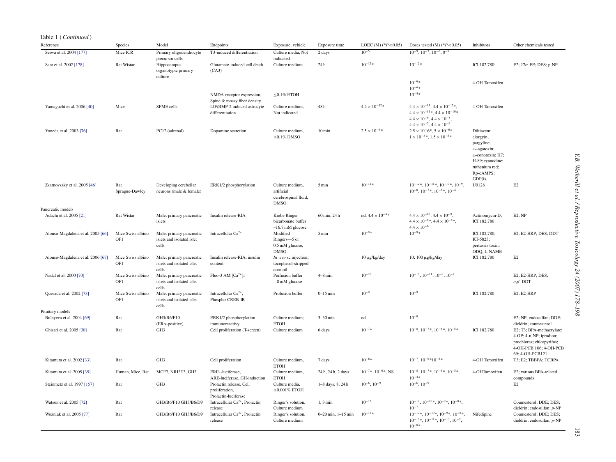| Table 1 ( <i>Continued</i> ) |                |                         |
|------------------------------|----------------|-------------------------|
| Reference                    | <b>Species</b> | Model                   |
| Seiwa et al. 2004 [177]      | Mice ICR       | Primary oligodendrocyte |
|                              |                | precursor cells         |
| Sato et al. 2002 [178]       | Rat Wistar     | Hinnocampus             |

| Sato et al. 2002 [178]            | <b>Rat Wistar</b>        | precursor cells<br>Hippocampus<br>organotypic primary          | Glutamate-induced cell death<br>(CA3)                             | indicated<br>Culture medium                                          | 24h                    | $10^{-12}$ *                 | $10^{-12\,*}$                                                                                                                                                                                       | ICI 182,780;                                                                                                                                                  | E2; $17\alpha$ -EE; DES; p-NP                                                                                                  |
|-----------------------------------|--------------------------|----------------------------------------------------------------|-------------------------------------------------------------------|----------------------------------------------------------------------|------------------------|------------------------------|-----------------------------------------------------------------------------------------------------------------------------------------------------------------------------------------------------|---------------------------------------------------------------------------------------------------------------------------------------------------------------|--------------------------------------------------------------------------------------------------------------------------------|
|                                   |                          | culture                                                        |                                                                   |                                                                      |                        |                              | $10^{-9*}$<br>$10^{-6*}$                                                                                                                                                                            | 4-OH Tamoxifen                                                                                                                                                |                                                                                                                                |
|                                   |                          |                                                                | NMDA-receptor expression,<br>Spine & mossy fiber density          | $\leq$ 0.1% ETOH                                                     |                        |                              | $10^{-4}$ *                                                                                                                                                                                         |                                                                                                                                                               |                                                                                                                                |
| Yamaguchi et al. 2006 [40]        | Mice                     | SFME cells                                                     | LIF/BMP-2 induced astrocyte<br>differentiation                    | Culture medium,<br>Not indicated                                     | 48h                    | $4.4 \times 10^{-12}$ *      | $4.4 \times 10^{-13}$ , $4.4 \times 10^{-12}$ *,<br>$4.4 \times 10^{-11}$ , $4.4 \times 10^{-10}$ ,<br>$4.4 \times 10^{-9}$ , $4.4 \times 10^{-8}$ ,<br>$4.4 \times 10^{-7}$ , $4.4 \times 10^{-6}$ | 4-OH Tamoxifen                                                                                                                                                |                                                                                                                                |
| Yoneda et al. 2003 [76]           | Rat                      | PC12 (adrenal)                                                 | Dopamine secretion                                                | Culture medium,<br>$≤0.1\%$ DMSO                                     | $10 \,\mathrm{min}$    | $2.5 \times 10^{-6*}$        | $2.5 \times 10^{-6}$ , $5 \times 10^{-6}$ ,<br>$1 \times 10^{-5}$ , $1.5 \times 10^{-5}$                                                                                                            | Diltiazem;<br>clorgyin;<br>pargyline;<br>$\omega$ -agatoxin;<br>$\omega$ -conotoxin; H7;<br>H-89; ryanodine;<br>ruthenium red;<br>Rp-cAMPS;<br>$GDP\beta s$ , |                                                                                                                                |
| Zsarnovszky et al. 2005 [46]      | Rat<br>Sprague-Dawley    | Developing cerebellar<br>neurons (male & female)               | ERK1/2 phosphorylation                                            | Culture medium,<br>artificial<br>cerebrospinal fluid,<br><b>DMSO</b> | 5 min                  | $10^{-12}\ast$               | $10^{-12}$ *, $10^{-11}$ *, $10^{-10}$ *, $10^{-9}$ ,<br>$10^{-8}$ , $10^{-7}$ *, $10^{-6}$ *, $10^{-4}$                                                                                            | U0128                                                                                                                                                         | E2                                                                                                                             |
| Pancreatic models                 |                          |                                                                |                                                                   |                                                                      |                        |                              |                                                                                                                                                                                                     |                                                                                                                                                               |                                                                                                                                |
| Adachi et al. 2005 [21]           | <b>Rat Wistar</b>        | Male; primary pancreatic<br>islets                             | Insulin release-RIA                                               | Krebs-Ringer<br>bicarbonate buffer<br>$-16.7$ mM glucose             | 60 min, 24h            | nd, $4.4 \times 10^{-8}$ *   | $4.4 \times 10^{-10}$ , $4.4 \times 10^{-9}$ ,<br>$4.4 \times 10^{-8}$ , $4.4 \times 10^{-8}$ ,<br>$4.4\times10^{-6}$                                                                               | Actinomycin-D;<br>ICI 182,780                                                                                                                                 | $E2$ ; NP                                                                                                                      |
| Alonso-Magdalena et al. 2005 [66] | Mice Swiss albino<br>OF1 | Male; primary pancreatic<br>islets and isolated islet<br>cells | Intracellular $Ca^{2+}$                                           | Modified<br>Ringers-5 or<br>0.5 mM glucose,<br><b>DMSO</b>           | 5 min                  | $10^{-9*}$                   | $10^{-9} *$                                                                                                                                                                                         | ICI 182,780;<br>KT-5823;<br>pertussis toxin;<br>ODQ; L-NAME                                                                                                   | E2; E2-HRP; DES; DDT                                                                                                           |
| Alonso-Magdalena et al. 2006 [67] | Mice Swiss albino<br>OF1 | Male; primary pancreatic<br>islets and isolated islet<br>cells | Insulin release-RIA; insulin<br>content                           | In vivo sc injection;<br>tocopherol-stripped<br>corn oil             |                        | 10 μg/kg/day                 | 10; 100 μg/kg/day                                                                                                                                                                                   | ICI 182,780                                                                                                                                                   | E2                                                                                                                             |
| Nadal et al. 2000 [70]            | Mice Swiss albino<br>OF1 | Male; primary pancreatic<br>islets and isolated islet<br>cells | Fluo-3 AM $[Ca2+]$                                                | Perfusion buffer<br>$-8$ mM glucose                                  | $4-8$ min              | $10^{-10}$                   | $10^{-10}$ , $10^{-11}$ , $10^{-9}$ , $10^{-7}$                                                                                                                                                     |                                                                                                                                                               | E2; E2-HRP; DES;<br>$o, p'$ -DDT                                                                                               |
| Quesada et al. 2002 [73]          | Mice Swiss albino<br>OF1 | Male; primary pancreatic<br>islets and isolated islet          | Intracellular $Ca^{2+}$ ,<br>Phospho-CREB-IR                      | Profusion buffer                                                     | $0-15$ min             | $10^{-9}$                    | $10^{-9}$                                                                                                                                                                                           | ICI 182,780                                                                                                                                                   | E2; E2-HRP                                                                                                                     |
| Pituitary models                  |                          | cells                                                          |                                                                   |                                                                      |                        |                              |                                                                                                                                                                                                     |                                                                                                                                                               |                                                                                                                                |
| Bulayeva et al. 2004 [69]         | Rat                      | GH3/B6/F10<br>$(ER\alpha$ -positive)                           | ERK1/2 phosphorylation<br>immunoreactivy                          | Culture medium;<br><b>ETOH</b>                                       | $3-30$ min             | nd                           | $10^{-9}$                                                                                                                                                                                           |                                                                                                                                                               | E2; NP; endosulfan; DDE;<br>dieldrin; coumesterol                                                                              |
| Ghisari et al. 2005 [30]          | Rat                      | GH3                                                            | Cell proliferation (T-screen)                                     | Culture medium                                                       | 6 days                 | $10^{-7*}$                   | $10^{-8}$ , $10^{-7}$ *, $10^{-6}$ *, $10^{-5}$ *                                                                                                                                                   | ICI 182,780                                                                                                                                                   | E2; T3; BPA-methacrylate;<br>4-OP; 4-n-NP; iprodion;<br>prochloraz; chlorpyrifos;<br>4-OH-PCB 106; 4-OH-PCB<br>69; 4-OH-PCB121 |
| Kitamura et al. 2002 [33]         | Rat                      | GH3                                                            | Cell proliferation                                                | Culture medium,<br><b>ETOH</b>                                       | 7 days                 | $10^{-6*}$                   | $10^{-7}$ , $10^{-6*10^{-5*}}$                                                                                                                                                                      | 4-OH Tamoxifen                                                                                                                                                | T3; E2; TBBPA; TCBPA                                                                                                           |
| Kitamura et al. 2005 [35]         | Human, Mice, Rat         | MCF7, NIH3T3, GH3                                              | ERE <sub>3</sub> -luciferase,<br>ARE-luciferase, GH-induction     | Culture medium,<br><b>ETOH</b>                                       | 24h, 24h, 2 days       | $10^{-7}$ *, $10^{-6}$ *, NS | $10^{-8}$ , $10^{-7}$ , $10^{-6}$ , $10^{-5}$ ,<br>$10^{-4}$ *                                                                                                                                      | 4-OHTamoxifen                                                                                                                                                 | E2; various BPA-related<br>compounds                                                                                           |
| Steinmetz et al. 1997 [157]       | Rat                      | GH3                                                            | Prolactin release, Cell<br>proliferation,<br>Prolactin-luciferase | Culture media,<br>$<0.001\%$ ETOH                                    | 1-8 days, 8, 24 h      | $10^{-6}$ , $10^{-9}$        | $10^{-6}$ , $10^{-9}$                                                                                                                                                                               |                                                                                                                                                               | E2                                                                                                                             |
| Watson et al. 2005 [72]           | Rat                      | GH3/B6/F10 GH3/B6/D9                                           | Intracellular $Ca^{2+}$ , Prolactin<br>release                    | Ringer's solution,<br>Culture medium                                 | $1, 3$ min             | $10^{-12}$                   | $10^{-12}$ , $10^{-10}$ *, $10^{-9}$ *, $10^{-8}$ *,<br>$10^{-7}$                                                                                                                                   |                                                                                                                                                               | Coumesterol; DDE; DES;<br>dieldrin; endosulfan; p-NP                                                                           |
| Wozniak et al. 2005 [77]          | Rat                      | GH3/B6/F10 GH3/B6/D9                                           | Intracellular $Ca^{2+}$ , Prolactin<br>release                    | Ringer's solution,<br>Culture medium                                 | $0-20$ min, $1-15$ min | $10^{-12} *$                 | $10^{-12}$ *, $10^{-10}$ *, $10^{-9}$ *, $10^{-8}$ *,<br>$10^{-12}$ *, $10^{-11}$ *, $10^{-10}$ , $10^{-9}$ ,<br>$10^{-8}\ast$                                                                      | Nifedipine                                                                                                                                                    | Coumesterol; DDE; DES;<br>dieldrin; endosulfan; p-NP                                                                           |

T3-induced differentiation Culture media, Not

Exposure; vehicle Exposure time LOEC (M) (\**P* < 0.05) Doses tested (M) (\**P* < 0.05) Inhibitors Other chemicals tested

 $\frac{1}{2}$  days  $10^{-5}$   $10^{-9}$ ,  $10^{-7}$ ,  $10^{-6}$ ,  $0^{-5}$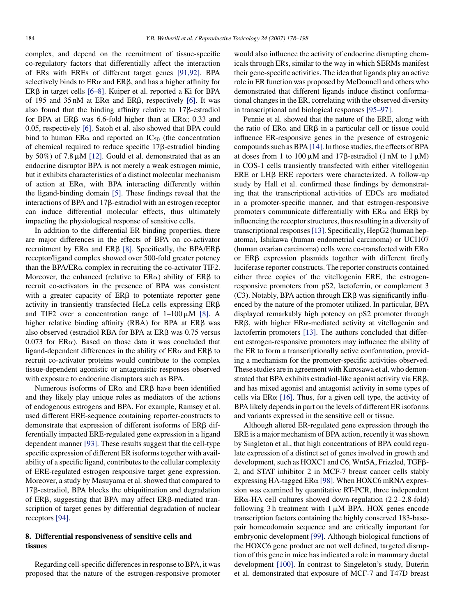complex, and depend on the recruitment of tissue-specific co-regulatory factors that differentially affect the interaction of ERs with EREs of different target genes [\[91,92\].](#page-18-8) BPA selectively binds to  $ER\alpha$  and  $ER\beta$ , and has a higher affinity for  $ER\beta$  in target cells [\[6–8\].](#page-16-21) Kuiper et al. reported a Ki for BPA of 195 and 35 nM at ER $\alpha$  and ER $\beta$ , respectively [\[6\].](#page-16-21) It was also found that the binding affinity relative to  $17\beta$ -estradiol for BPA at ER $\beta$  was 6.6-fold higher than at ER $\alpha$ ; 0.33 and 0.05, respectively [\[6\]. S](#page-16-21)atoh et al. also showed that BPA could bind to human ER $\alpha$  and reported an IC<sub>50</sub> (the concentration of chemical required to reduce specific  $17\beta$ -estradiol binding by 50%) of 7.8  $\mu$ M [\[12\].](#page-16-22) Gould et al. demonstrated that as an endocrine disruptor BPA is not merely a weak estrogen mimic, but it exhibits characteristics of a distinct molecular mechanism of action at  $ER\alpha$ , with BPA interacting differently within the ligand-binding domain [\[5\].](#page-16-2) These findings reveal that the interactions of BPA and  $17\beta$ -estradiol with an estrogen receptor can induce differential molecular effects, thus ultimately impacting the physiological response of sensitive cells.

In addition to the differential ER binding properties, there are major differences in the effects of BPA on co-activator recruitment by ER $\alpha$  and ER $\beta$  [\[8\].](#page-16-23) Specifically, the BPA/ER $\beta$ receptor/ligand complex showed over 500-fold greater potency than the BPA/ER $\alpha$  complex in recruiting the co-activator TIF2. Moreover, the enhanced (relative to  $ER\alpha$ ) ability of  $ER\beta$  to recruit co-activators in the presence of BPA was consistent with a greater capacity of  $ER\beta$  to potentiate reporter gene activity in transiently transfected HeLa cells expressing  $ER\beta$ and TIF2 over a concentration range of  $1-100 \mu M$  [\[8\].](#page-16-23) A higher relative binding affinity (RBA) for BPA at  $ER\beta$  was also observed (estradiol RBA for BPA at  $ER\beta$  was 0.75 versus  $0.073$  for ER $\alpha$ ). Based on those data it was concluded that ligand-dependent differences in the ability of  $ER\alpha$  and  $ER\beta$  to recruit co-activator proteins would contribute to the complex tissue-dependent agonistic or antagonistic responses observed with exposure to endocrine disruptors such as BPA.

Numerous isoforms of  $ER\alpha$  and  $ER\beta$  have been identified and they likely play unique roles as mediators of the actions of endogenous estrogens and BPA. For example, Ramsey et al. used different ERE-sequence containing reporter-constructs to demonstrate that expression of different isoforms of  $ER\beta$  differentially impacted ERE-regulated gene expression in a ligand dependent manner [\[93\].](#page-18-9) These results suggest that the cell-type specific expression of different ER isoforms together with availability of a specific ligand, contributes to the cellular complexity of ERE-regulated estrogen responsive target gene expression. Moreover, a study by Masuyama et al. showed that compared to 17<sub>B</sub>-estradiol, BPA blocks the ubiquitination and degradation of ER $\beta$ , suggesting that BPA may affect ER $\beta$ -mediated transcription of target genes by differential degradation of nuclear receptors [\[94\].](#page-18-10)

# **8. Differential responsiveness of sensitive cells and tissues**

Regarding cell-specific differences in response to BPA, it was proposed that the nature of the estrogen-responsive promoter would also influence the activity of endocrine disrupting chemicals through ERs, similar to the way in which SERMs manifest their gene-specific activities. The idea that ligands play an active role in ER function was proposed by McDonnell and others who demonstrated that different ligands induce distinct conformational changes in the ER, correlating with the observed diversity in transcriptional and biological responses [\[95–97\].](#page-18-11)

Pennie et al. showed that the nature of the ERE, along with the ratio of  $ER\alpha$  and  $ER\beta$  in a particular cell or tissue could influence ER-responsive genes in the presence of estrogenic compounds such as BPA [\[14\]. I](#page-16-24)n those studies, the effects of BPA at doses from 1 to 100  $\mu$ M and 17 $\beta$ -estradiol (1 nM to 1  $\mu$ M) in COS-1 cells transiently transfected with either vitellogenin  $ERE$  or  $LHB$   $ERE$  reporters were characterized. A follow-up study by Hall et al. confirmed these findings by demonstrating that the transcriptional activities of EDCs are mediated in a promoter-specific manner, and that estrogen-responsive promoters communicate differentially with  $ER\alpha$  and  $ER\beta$  by influencing the receptor structures, thus resulting in a diversity of transcriptional responses[\[13\]. S](#page-16-25)pecifically, HepG2 (human hepatoma), Ishikawa (human endometrial carcinoma) or UCI107 (human ovarian carcinoma) cells were co-transfected with  $ER\alpha$ or  $ER\beta$  expression plasmids together with different firefly luciferase reporter constructs. The reporter constructs contained either three copies of the vitellogenin ERE, the estrogenresponsive promoters from pS2, lactoferrin, or complement 3  $(C3)$ . Notably, BPA action through ER $\beta$  was significantly influenced by the nature of the promoter utilized. In particular, BPA displayed remarkably high potency on pS2 promoter through  $ER\beta$ , with higher  $ER\alpha$ -mediated activity at vitellogenin and lactoferrin promoters [\[13\].](#page-16-25) The authors concluded that different estrogen-responsive promoters may influence the ability of the ER to form a transcriptionally active conformation, providing a mechanism for the promoter-specific activities observed. These studies are in agreement with Kurosawa et al. who demonstrated that BPA exhibits estradiol-like agonist activity via  $ER\beta$ , and has mixed agonist and antagonist activity in some types of cells via ER $\alpha$  [\[16\].](#page-16-26) Thus, for a given cell type, the activity of BPA likely depends in part on the levels of different ER isoforms and variants expressed in the sensitive cell or tissue.

Although altered ER-regulated gene expression through the ERE is a major mechanism of BPA action, recently it was shown by Singleton et al., that high concentrations of BPA could regulate expression of a distinct set of genes involved in growth and development, such as HOXC1 and C6, Wnt5A, Frizzled, TGFß-2, and STAT inhibitor 2 in MCF-7 breast cancer cells stably expressing HA-tagged ER $\alpha$  [\[98\]. W](#page-18-12)hen HOXC6 mRNA expression was examined by quantitative RT-PCR, three independent  $ER\alpha$ -HA cell cultures showed down-regulation (2.2–2.8-fold) following 3 h treatment with  $1 \mu M$  BPA. HOX genes encode transcription factors containing the highly conserved 183-basepair homeodomain sequence and are critically important for embryonic development [\[99\].](#page-18-13) Although biological functions of the HOXC6 gene product are not well defined, targeted disruption of this gene in mice has indicated a role in mammary ductal development [\[100\].](#page-18-7) In contrast to Singeleton's study, Buterin et al. demonstrated that exposure of MCF-7 and T47D breast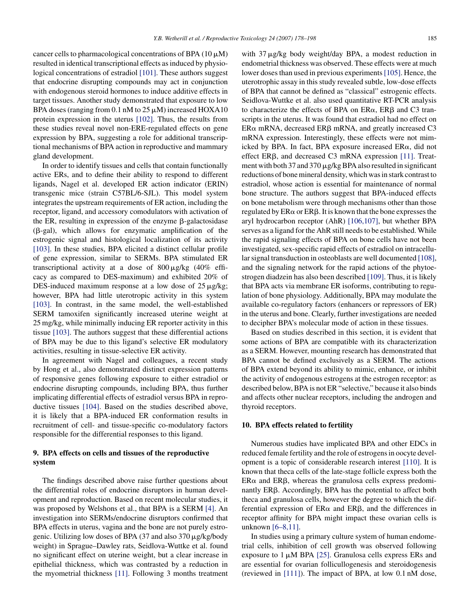cancer cells to pharmacological concentrations of BPA ( $10 \mu$ M) resulted in identical transcriptional effects as induced by physiological concentrations of estradiol [\[101\].](#page-18-15) These authors suggest that endocrine disrupting compounds may act in conjunction with endogenous steroid hormones to induce additive effects in target tissues. Another study demonstrated that exposure to low BPA doses (ranging from 0.1 nM to  $25 \mu$ M) increased HOXA10 protein expression in the uterus [\[102\].](#page-18-16) Thus, the results from these studies reveal novel non-ERE-regulated effects on gene expression by BPA, suggesting a role for additional transcriptional mechanisms of BPA action in reproductive and mammary gland development.

In order to identify tissues and cells that contain functionally active ERs, and to define their ability to respond to different ligands, Nagel et al. developed ER action indicator (ERIN) transgenic mice (strain C57BL/6-SJL). This model system integrates the upstream requirements of ER action, including the receptor, ligand, and accessory comodulators with activation of the ER, resulting in expression of the enzyme  $\beta$ -galactosidase  $(\beta$ -gal), which allows for enzymatic amplification of the estrogenic signal and histological localization of its activity [\[103\].](#page-18-17) In these studies, BPA elicited a distinct cellular profile of gene expression, similar to SERMs. BPA stimulated ER transcriptional activity at a dose of  $800 \mu g/kg$  (40% efficacy as compared to DES-maximum) and exhibited 20% of DES-induced maximum response at a low dose of  $25 \mu g/kg$ ; however, BPA had little uterotropic activity in this system [\[103\].](#page-18-17) In contrast, in the same model, the well-established SERM tamoxifen significantly increased uterine weight at 25 mg/kg, while minimally inducing ER reporter activity in this tissue [\[103\]. T](#page-18-17)he authors suggest that these differential actions of BPA may be due to this ligand's selective ER modulatory activities, resulting in tissue-selective ER activity.

In agreement with Nagel and colleagues, a recent study by Hong et al., also demonstrated distinct expression patterns of responsive genes following exposure to either estradiol or endocrine disrupting compounds, including BPA, thus further implicating differential effects of estradiol versus BPA in reproductive tissues [\[104\].](#page-18-18) Based on the studies described above, it is likely that a BPA-induced ER conformation results in recruitment of cell- and tissue-specific co-modulatory factors responsible for the differential responses to this ligand.

# **9. BPA effects on cells and tissues of the reproductive system**

The findings described above raise further questions about the differential roles of endocrine disruptors in human development and reproduction. Based on recent molecular studies, it was proposed by Welshons et al., that BPA is a SERM [\[4\].](#page-16-1) An investigation into SERMs/endocrine disruptors confirmed that BPA effects in uterus, vagina and the bone are not purely estrogenic. Utilizing low doses of BPA  $(37 \text{ and also } 370 \mu\text{g/kg/body})$ weight) in Sprague–Dawley rats, Seidlova-Wuttke et al. found no significant effect on uterine weight, but a clear increase in epithelial thickness, which was contrasted by a reduction in the myometrial thickness [\[11\].](#page-16-27) Following 3 months treatment

with  $37 \mu g/kg$  body weight/day BPA, a modest reduction in endometrial thickness was observed. These effects were at much lower doses than used in previous experiments [\[105\]. H](#page-18-19)ence, the uterotrophic assay in this study revealed subtle, low-dose effects of BPA that cannot be defined as "classical" estrogenic effects. Seidlova-Wuttke et al. also used quantitative RT-PCR analysis to characterize the effects of BPA on  $ER\alpha$ ,  $ER\beta$  and C3 transcripts in the uterus. It was found that estradiol had no effect on  $ER\alpha$  mRNA, decreased  $ER\beta$  mRNA, and greatly increased C3 mRNA expression. Interestingly, these effects were not mimicked by BPA. In fact, BPA exposure increased  $ER\alpha$ , did not effect ER $\beta$ , and decreased C3 mRNA expression [\[11\].](#page-16-27) Treatment with both 37 and 370  $\mu$ g/kg BPA also resulted in significant reductions of bone mineral density, which was in stark contrast to estradiol, whose action is essential for maintenance of normal bone structure. The authors suggest that BPA-induced effects on bone metabolism were through mechanisms other than those regulated by  $ER\alpha$  or  $ER\beta$ . It is known that the bone expresses the aryl hydrocarbon receptor (AhR) [\[106,107\],](#page-18-20) but whether BPA serves as a ligand for the AhR still needs to be established. While the rapid signaling effects of BPA on bone cells have not been investigated, sex-specific rapid effects of estradiol on intracellular signal transduction in osteoblasts are well documented [\[108\],](#page-18-21) and the signaling network for the rapid actions of the phytoestrogen diadzein has also been described [\[109\]. T](#page-18-22)hus, it is likely that BPA acts via membrane ER isoforms, contributing to regulation of bone physiology. Additionally, BPA may modulate the available co-regulatory factors (enhancers or repressors of ER) in the uterus and bone. Clearly, further investigations are needed to decipher BPA's molecular mode of action in these tissues.

Based on studies described in this section, it is evident that some actions of BPA are compatible with its characterization as a SERM. However, mounting research has demonstrated that BPA cannot be defined exclusively as a SERM. The actions of BPA extend beyond its ability to mimic, enhance, or inhibit the activity of endogenous estrogens at the estrogen receptor: as described below, BPA is not ER "selective," because it also binds and affects other nuclear receptors, including the androgen and thyroid receptors.

#### **10. BPA effects related to fertility**

Numerous studies have implicated BPA and other EDCs in reduced female fertility and the role of estrogens in oocyte development is a topic of considerable research interest [\[110\].](#page-18-23) It is known that theca cells of the late-stage follicle express both the  $ER\alpha$  and  $ER\beta$ , whereas the granulosa cells express predominantly ERB. Accordingly, BPA has the potential to affect both theca and granulosa cells, however the degree to which the differential expression of  $ER\alpha$  and  $ER\beta$ , and the differences in receptor affinity for BPA might impact these ovarian cells is unknown [\[6–8,11\].](#page-16-21)

In studies using a primary culture system of human endometrial cells, inhibition of cell growth was observed following exposure to  $1 \mu M$  BPA [\[25\].](#page-16-28) Granulosa cells express ERs and are essential for ovarian follicullogenesis and steroidogenesis (reviewed in [\[111\]\).](#page-18-14) The impact of BPA, at low 0.1 nM dose,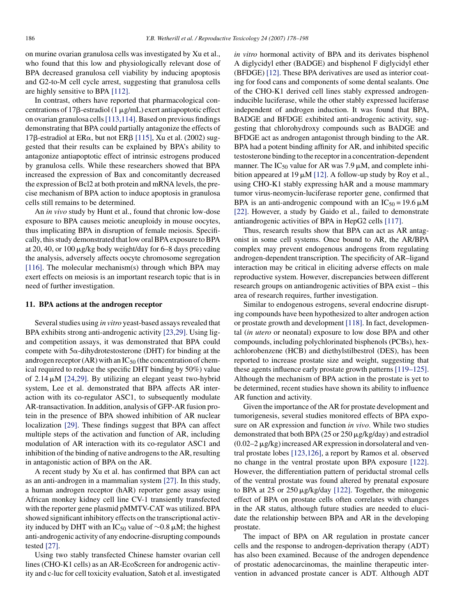on murine ovarian granulosa cells was investigated by Xu et al., who found that this low and physiologically relevant dose of BPA decreased granulosa cell viability by inducing apoptosis and G2-to-M cell cycle arrest, suggesting that granulosa cells are highly sensitive to BPA [\[112\].](#page-18-24)

In contrast, others have reported that pharmacological concentrations of 17 $\beta$ -estradiol (1  $\mu$ g/mL) exert antiapoptotic effect on ovarian granulosa cells[\[113,114\]. B](#page-18-25)ased on previous findings demonstrating that BPA could partially antagonize the effects of 17 $\beta$ -estradiol at ER $\alpha$ , but not ER $\beta$  [\[115\], X](#page-18-26)u et al. (2002) suggested that their results can be explained by BPA's ability to antagonize antiapoptotic effect of intrinsic estrogens produced by granulosa cells. While these researchers showed that BPA increased the expression of Bax and concomitantly decreased the expression of Bcl2 at both protein and mRNA levels, the precise mechanism of BPA action to induce apoptosis in granulosa cells still remains to be determined.

An *in vivo* study by Hunt et al., found that chronic low-dose exposure to BPA causes meiotic aneuploidy in mouse oocytes, thus implicating BPA in disruption of female meiosis. Specifically, this study demonstrated that low oral BPA exposure to BPA at 20, 40, or 100  $\mu$ g/kg body weight/day for 6–8 days preceding the analysis, adversely affects oocyte chromosome segregation [\[116\].](#page-18-27) The molecular mechanism(s) through which BPA may exert effects on meiosis is an important research topic that is in need of further investigation.

### **11. BPA actions at the androgen receptor**

Several studies using *in vitro* yeast-based assays revealed that BPA exhibits strong anti-androgenic activity [\[23,29\].](#page-16-2) Using ligand competition assays, it was demonstrated that BPA could compete with  $5\alpha$ -dihydrotestosterone (DHT) for binding at the androgen receptor  $(AR)$  with an  $IC_{50}$  (the concentration of chemical required to reduce the specific DHT binding by 50%) value of  $2.14 \mu M$  [\[24,29\].](#page-16-18) By utilizing an elegant yeast two-hybrid system, Lee et al. demonstrated that BPA affects AR interaction with its co-regulator ASC1, to subsequently modulate AR-transactivation. In addition, analysis of GFP-AR fusion protein in the presence of BPA showed inhibition of AR nuclear localization [\[29\].](#page-16-29) These findings suggest that BPA can affect multiple steps of the activation and function of AR, including modulation of AR interaction with its co-regulator ASC1 and inhibition of the binding of native androgens to the AR, resulting in antagonistic action of BPA on the AR.

A recent study by Xu et al. has confirmed that BPA can act as an anti-androgen in a mammalian system [\[27\].](#page-16-30) In this study, a human androgen receptor (hAR) reporter gene assay using African monkey kidney cell line CV-1 transiently transfected with the reporter gene plasmid pMMTV-CAT was utilized. BPA showed significant inhibitory effects on the transcriptional activity induced by DHT with an IC<sub>50</sub> value of ~0.8  $\mu$ M; the highest anti-androgenic activity of any endocrine-disrupting compounds tested [\[27\].](#page-16-30)

Using two stably transfected Chinese hamster ovarian cell lines (CHO-K1 cells) as an AR-EcoScreen for androgenic activity and c-luc for cell toxicity evaluation, Satoh et al. investigated *in vitro* hormonal activity of BPA and its derivates bisphenol A diglycidyl ether (BADGE) and bisphenol F diglycidyl ether (BFDGE) [\[12\]. T](#page-16-22)hese BPA derivatives are used as interior coating for food cans and components of some dental sealants. One of the CHO-K1 derived cell lines stably expressed androgeninducible luciferase, while the other stably expressed luciferase independent of androgen induction. It was found that BPA, BADGE and BFDGE exhibited anti-androgenic activity, suggesting that chlorohydroxy compounds such as BADGE and BFDGE act as androgen antagonist through binding to the AR. BPA had a potent binding affinity for AR, and inhibited specific testosterone binding to the receptor in a concentration-dependent manner. The IC<sub>50</sub> value for AR was 7.9  $\mu$ M, and complete inhibition appeared at 19  $\mu$ M [\[12\]. A](#page-16-22) follow-up study by Roy et al., using CHO-K1 stably expressing hAR and a mouse mammary tumor virus-neomycin-luciferase reporter gene, confirmed that BPA is an anti-androgenic compound with an  $IC_{50} = 19.6 \mu M$ [\[22\].](#page-16-3) However, a study by Gaido et al., failed to demonstrate antiandrogenic activities of BPA in HepG2 cells [\[117\].](#page-18-28)

Thus, research results show that BPA can act as AR antagonist in some cell systems. Once bound to AR, the AR/BPA complex may prevent endogenous androgens from regulating androgen-dependent transcription. The specificity of AR–ligand interaction may be critical in eliciting adverse effects on male reproductive system. However, discrepancies between different research groups on antiandrogenic activities of BPA exist – this area of research requires, further investigation.

Similar to endogenous estrogens, several endocrine disrupting compounds have been hypothesized to alter androgen action or prostate growth and development [\[118\]. I](#page-18-29)n fact, developmental (*in utero* or neonatal) exposure to low dose BPA and other compounds, including polychlorinated bisphenols (PCBs), hexachlorobenzene (HCB) and diethylstilbestrol (DES), has been reported to increase prostate size and weight, suggesting that these agents influence early prostate growth patterns[\[119–125\].](#page-18-30) Although the mechanism of BPA action in the prostate is yet to be determined, recent studies have shown its ability to influence AR function and activity.

Given the importance of the AR for prostate development and tumorigenesis, several studies monitored effects of BPA exposure on AR expression and function *in vivo*. While two studies demonstrated that both BPA (25 or 250  $\mu$ g/kg/day) and estradiol  $(0.02-2 \mu g/kg)$  increased AR expression in dorsolateral and ventral prostate lobes [\[123,126\],](#page-19-6) a report by Ramos et al. observed no change in the ventral prostate upon BPA exposure [\[122\].](#page-19-5) However, the differentiation pattern of periductal stromal cells of the ventral prostate was found altered by prenatal exposure to BPA at 25 or 250  $\mu$ g/kg/day [\[122\].](#page-19-5) Together, the mitogenic effect of BPA on prostate cells often correlates with changes in the AR status, although future studies are needed to elucidate the relationship between BPA and AR in the developing prostate.

The impact of BPA on AR regulation in prostate cancer cells and the response to androgen-deprivation therapy (ADT) has also been examined. Because of the androgen dependence of prostatic adenocarcinomas, the mainline therapeutic intervention in advanced prostate cancer is ADT. Although ADT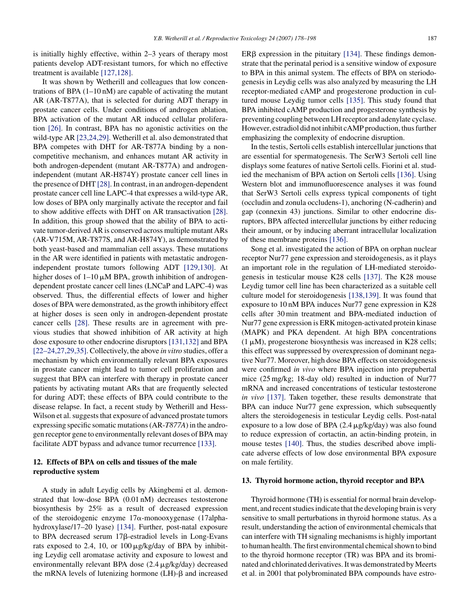is initially highly effective, within 2–3 years of therapy most patients develop ADT-resistant tumors, for which no effective treatment is available [\[127,128\].](#page-19-8)

It was shown by Wetherill and colleagues that low concentrations of BPA  $(1-10 \text{ nM})$  are capable of activating the mutant AR (AR-T877A), that is selected for during ADT therapy in prostate cancer cells. Under conditions of androgen ablation, BPA activation of the mutant AR induced cellular proliferation [\[26\].](#page-16-31) In contrast, BPA has no agonistic activities on the wild-type AR [\[23,24,29\]. W](#page-16-2)etherill et al. also demonstrated that BPA competes with DHT for AR-T877A binding by a noncompetitive mechanism, and enhances mutant AR activity in both androgen-dependent (mutant AR-T877A) and androgenindependent (mutant AR-H874Y) prostate cancer cell lines in the presence of DHT [\[28\]. I](#page-16-7)n contrast, in an androgen-dependent prostate cancer cell line LAPC-4 that expresses a wild-type AR, low doses of BPA only marginally activate the receptor and fail to show additive effects with DHT on AR transactivation [\[28\].](#page-16-7) In addition, this group showed that the ability of BPA to activate tumor-derived AR is conserved across multiple mutant ARs (AR-V715M, AR-T877S, and AR-H874Y), as demonstrated by both yeast-based and mammalian cell assays. These mutations in the AR were identified in patients with metastatic androgenindependent prostate tumors following ADT [\[129,130\].](#page-19-9) At higher doses of  $1-10 \mu M$  BPA, growth inhibition of androgendependent prostate cancer cell lines (LNCaP and LAPC-4) was observed. Thus, the differential effects of lower and higher doses of BPA were demonstrated, as the growth inhibitory effect at higher doses is seen only in androgen-dependent prostate cancer cells [\[28\].](#page-16-7) These results are in agreement with previous studies that showed inhibition of AR activity at high dose exposure to other endocrine disruptors [\[131,132\]](#page-19-10) and BPA [\[22–24,27,29,35\]. C](#page-16-3)ollectively, the above *in vitro* studies, offer a mechanism by which environmentally relevant BPA exposures in prostate cancer might lead to tumor cell proliferation and suggest that BPA can interfere with therapy in prostate cancer patients by activating mutant ARs that are frequently selected for during ADT; these effects of BPA could contribute to the disease relapse. In fact, a recent study by Wetherill and Hess-Wilson et al. suggests that exposure of advanced prostate tumors expressing specific somatic mutations (AR-*T877A*) in the androgen receptor gene to environmentally relevant doses of BPA may facilitate ADT bypass and advance tumor recurrence [\[133\].](#page-19-11)

# **12. Effects of BPA on cells and tissues of the male reproductive system**

A study in adult Leydig cells by Akingbemi et al. demonstrated that low-dose BPA (0.01 nM) decreases testosterone biosynthesis by 25% as a result of decreased expression of the steroidogenic enzyme  $17\alpha$ -monooxygenase (17alphahydroxylase/17–20 lyase) [\[134\].](#page-19-12) Further, post-natal exposure to BPA decreased serum  $17\beta$ -estradiol levels in Long-Evans rats exposed to 2.4, 10, or  $100 \mu g/kg/day$  of BPA by inhibiting Leydig cell aromatase activity and exposure to lowest and environmentally relevant BPA dose  $(2.4 \mu g/kg/day)$  decreased the mRNA levels of lutenizing hormone  $(LH)$ - $\beta$  and increased  $ER\beta$  expression in the pituitary [\[134\].](#page-19-12) These findings demonstrate that the perinatal period is a sensitive window of exposure to BPA in this animal system. The effects of BPA on steriodogenesis in Leydig cells was also analyzed by measuring the LH receptor-mediated cAMP and progesterone production in cultured mouse Leydig tumor cells [\[135\].](#page-19-13) This study found that BPA inhibited cAMP production and progesterone synthesis by preventing coupling between LH receptor and adenylate cyclase. However, estradiol did not inhibit cAMP production, thus further emphasizing the complexity of endocrine disruption.

In the testis, Sertoli cells establish intercellular junctions that are essential for spermatogenesis. The SerW3 Sertoli cell line displays some features of native Sertoli cells. Fiorini et al. studied the mechanism of BPA action on Sertoli cells [\[136\]. U](#page-19-14)sing Western blot and immunofluorescence analyses it was found that SerW3 Sertoli cells express typical components of tight (occludin and zonula occludens-1), anchoring (N-cadherin) and gap (connexin 43) junctions. Similar to other endocrine disruptors, BPA affected intercellular junctions by either reducing their amount, or by inducing aberrant intracellular localization of these membrane proteins [\[136\].](#page-19-14)

Song et al. investigated the action of BPA on orphan nuclear receptor Nur77 gene expression and steroidogenesis, as it plays an important role in the regulation of LH-mediated steroidogenesis in testicular mouse K28 cells [\[137\].](#page-19-15) The K28 mouse Leydig tumor cell line has been characterized as a suitable cell culture model for steroidogenesis [\[138,139\].](#page-19-16) It was found that exposure to 10 nM BPA induces Nur77 gene expression in K28 cells after 30 min treatment and BPA-mediated induction of Nur77 gene expression is ERK mitogen-activated protein kinase (MAPK) and PKA dependent. At high BPA concentrations  $(1 \mu M)$ , progesterone biosynthesis was increased in K28 cells; this effect was suppressed by overexpression of dominant negative Nur77. Moreover, high dose BPA effects on steroidogenesis were confirmed *in vivo* where BPA injection into prepubertal mice (25 mg/kg; 18-day old) resulted in induction of Nur77 mRNA and increased concentrations of testicular testosterone *in vivo* [\[137\].](#page-19-15) Taken together, these results demonstrate that BPA can induce Nur77 gene expression, which subsequently alters the steroidogenesis in testicular Leydig cells. Post-natal exposure to a low dose of BPA  $(2.4 \mu g/kg/day)$  was also found to reduce expression of cortactin, an actin-binding protein, in mouse testes [\[140\].](#page-19-7) Thus, the studies described above implicate adverse effects of low dose environmental BPA exposure on male fertility.

#### **13. Thyroid hormone action, thyroid receptor and BPA**

Thyroid hormone (TH) is essential for normal brain development, and recent studies indicate that the developing brain is very sensitive to small perturbations in thyroid hormone status. As a result, understanding the action of environmental chemicals that can interfere with TH signaling mechanisms is highly important to human health. The first environmental chemical shown to bind to the thyroid hormone receptor (TR) was BPA and its brominated and chlorinated derivatives. It was demonstrated by Meerts et al. in 2001 that polybrominated BPA compounds have estro-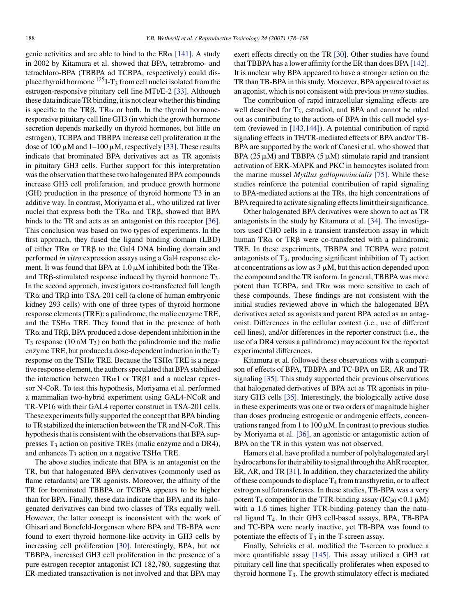genic activities and are able to bind to the  $ER\alpha$  [\[141\].](#page-19-5) A study in 2002 by Kitamura et al. showed that BPA, tetrabromo- and tetrachloro-BPA (TBBPA ad TCBPA, respectively) could displace thyroid hormone  $^{125}I-T_3$  from cell nuclei isolated from the estrogen-responsive pituitary cell line MTt/E-2 [\[33\].](#page-16-32) Although these data indicate TR binding, it is not clear whether this binding is specific to the TR $\beta$ , TR $\alpha$  or both. In the thyroid hormoneresponsive pituitary cell line GH3 (in which the growth hormone secretion depends markedly on thyroid hormones, but little on estrogen), TCBPA and TBBPA increase cell proliferation at the dose of 100  $\mu$ M and 1–100  $\mu$ M, respectively [\[33\]. T](#page-16-32)hese results indicate that brominated BPA derivatives act as TR agonists in pituitary GH3 cells. Further support for this interpretation was the observation that these two halogenated BPA compounds increase GH3 cell proliferation, and produce growth hormone (GH) production in the presence of thyroid hormone T3 in an additive way. In contrast, Moriyama et al., who utilized rat liver nuclei that express both the TR $\alpha$  and TR $\beta$ , showed that BPA binds to the TR and acts as an antagonist on this receptor [\[36\].](#page-16-26) This conclusion was based on two types of experiments. In the first approach, they fused the ligand binding domain (LBD) of either  $TR\alpha$  or  $TR\beta$  to the Gal4 DNA binding domain and performed *in vitro* expression assays using a Gal4 response element. It was found that BPA at 1.0  $\mu$ M inhibited both the TR $\alpha$ and TRB-stimulated response induced by thyroid hormone  $T_3$ . In the second approach, investigators co-transfected full length TR $\alpha$  and TR $\beta$  into TSA-201 cell (a clone of human embryonic kidney 293 cells) with one of three types of thyroid hormone response elements (TRE): a palindrome, the malic enzyme TRE, and the TSH $\alpha$  TRE. They found that in the presence of both  $TR\alpha$  and  $TR\beta$ , BPA produced a dose-dependent inhibition in the  $T_3$  response (10 nM  $T_3$ ) on both the palindromic and the malic enzyme TRE, but produced a dose-dependent induction in the  $T_3$ response on the TSH $\alpha$  TRE. Because the TSH $\alpha$  TRE is a negative response element, the authors speculated that BPA stabilized the interaction between  $TR\alpha1$  or  $TR\beta1$  and a nuclear repressor N-CoR. To test this hypothesis, Moriyama et al. performed a mammalian two-hybrid experiment using GAL4-NCoR and TR-VP16 with their GAL4 reporter construct in TSA-201 cells. These experiments fully supported the concept that BPA binding to TR stabilized the interaction between the TR and N-CoR. This hypothesis that is consistent with the observations that BPA suppresses T3 action on positive TREs (malic enzyme and a DR4), and enhances  $T_3$  action on a negative TSH $\alpha$  TRE.

The above studies indicate that BPA is an antagonist on the TR, but that halogenated BPA derivatives (commonly used as flame retardants) are TR agonists. Moreover, the affinity of the TR for brominated TBBPA or TCBPA appears to be higher than for BPA. Finally, these data indicate that BPA and its halogenated derivatives can bind two classes of TRs equally well. However, the latter concept is inconsistent with the work of Ghisari and Bonefeld-Jorgensen where BPA and TB-BPA were found to exert thyroid hormone-like activity in GH3 cells by increasing cell proliferation [\[30\].](#page-16-4) Interestingly, BPA, but not TBBPA, increased GH3 cell proliferation in the presence of a pure estrogen receptor antagonist ICI 182,780, suggesting that ER-mediated transactivation is not involved and that BPA may

exert effects directly on the TR [\[30\].](#page-16-4) Other studies have found that TBBPA has a lower affinity for the ER than does BPA [\[142\].](#page-19-6) It is unclear why BPA appeared to have a stronger action on the TR than TB-BPA in this study. Moreover, BPA appeared to act as an agonist, which is not consistent with previous*in vitro* studies.

The contribution of rapid intracellular signaling effects are well described for  $T_3$ , estradiol, and BPA and cannot be ruled out as contributing to the actions of BPA in this cell model system (reviewed in [\[143,144\]\).](#page-19-18) A potential contribution of rapid signaling effects in TH/TR-mediated effects of BPA and/or TB-BPA are supported by the work of Canesi et al. who showed that BPA (25  $\mu$ M) and TBBPA (5  $\mu$ M) stimulate rapid and transient activation of ERK-MAPK and PKC in hemocytes isolated from the marine mussel *Mytilus galloprovincialis* [\[75\].](#page-17-25) While these studies reinforce the potential contribution of rapid signaling to BPA-mediated actions at the TRs, the high concentrations of BPA required to activate signaling effects limit their significance.

Other halogenated BPA derivatives were shown to act as TR antagonists in the study by Kitamura et al. [\[34\]. T](#page-16-16)he investigators used CHO cells in a transient transfection assay in which human  $TR\alpha$  or  $TR\beta$  were co-transfected with a palindromic TRE. In these experiments, TBBPA and TCBPA were potent antagonists of  $T_3$ , producing significant inhibition of  $T_3$  action at concentrations as low as  $3 \mu M$ , but this action depended upon the compound and the TR isoform. In general, TBBPA was more potent than TCBPA, and  $TR\alpha$  was more sensitive to each of these compounds. These findings are not consistent with the initial studies reviewed above in which the halogenated BPA derivatives acted as agonists and parent BPA acted as an antagonist. Differences in the cellular context (i.e., use of different cell lines), and/or differences in the reporter construct (i.e., the use of a DR4 versus a palindrome) may account for the reported experimental differences.

Kitamura et al. followed these observations with a comparison of effects of BPA, TBBPA and TC-BPA on ER, AR and TR signaling [\[35\]. T](#page-16-33)his study supported their previous observations that halogenated derivatives of BPA act as TR agonists in pituitary GH3 cells [\[35\].](#page-16-33) Interestingly, the biologically active dose in these experiments was one or two orders of magnitude higher than doses producing estrogenic or androgenic effects, concentrations ranged from 1 to 100  $\mu$ M. In contrast to previous studies by Moriyama et al. [\[36\],](#page-16-26) an agonistic or antagonistic action of BPA on the TR in this system was not observed.

Hamers et al. have profiled a number of polyhalogenated aryl hydrocarbons for their ability to signal through the AhR receptor, ER, AR, and TR [\[31\]. I](#page-16-34)n addition, they characterized the ability of these compounds to displace  $T_4$  from transthyretin, or to affect estrogen sulfotransferases. In these studies, TB-BPA was a very potent T<sub>4</sub> competitor in the TTR-binding assay ( $IC_{50}$  < 0.1  $\mu$ M) with a 1.6 times higher TTR-binding potency than the natural ligand T4. In their GH3 cell-based assays, BPA, TB-BPA and TC-BPA were nearly inactive, yet TB-BPA was found to potentiate the effects of  $T_3$  in the T-screen assay.

Finally, Schricks et al. modified the T-screen to produce a more quantifiable assay [\[145\].](#page-19-17) This assay utilized a GH3 rat pituitary cell line that specifically proliferates when exposed to thyroid hormone  $T_3$ . The growth stimulatory effect is mediated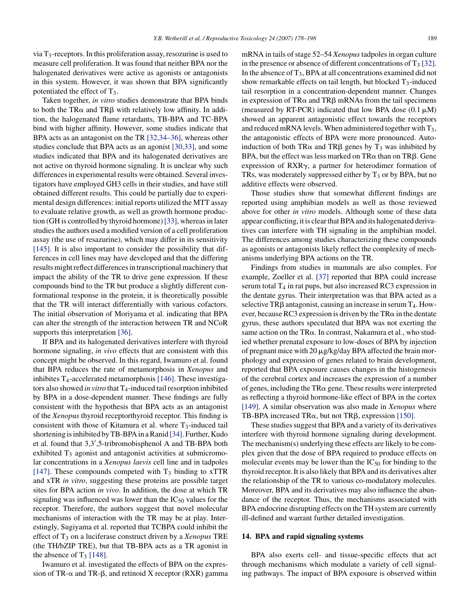via  $T_3$ -receptors. In this proliferation assay, resozurine is used to measure cell proliferation. It was found that neither BPA nor the halogenated derivatives were active as agonists or antagonists in this system. However, it was shown that BPA significantly potentiated the effect of  $T_3$ .

Taken together, *in vitro* studies demonstrate that BPA binds to both the TR $\alpha$  and TR $\beta$  with relatively low affinity. In addition, the halogenated flame retardants, TB-BPA and TC-BPA bind with higher affinity. However, some studies indicate that BPA acts as an antagonist on the TR [\[32,34–36\],](#page-16-35) whereas other studies conclude that BPA acts as an agonist [\[30,33\], a](#page-16-4)nd some studies indicated that BPA and its halogenated derivatives are not active on thyroid hormone signaling. It is unclear why such differences in experimental results were obtained. Several investigators have employed GH3 cells in their studies, and have still obtained different results. This could be partially due to experimental design differences: initial reports utilized the MTT assay to evaluate relative growth, as well as growth hormone production (GH is controlled by thyroid hormone)[\[33\], w](#page-16-32)hereas in later studies the authors used a modified version of a cell proliferation assay (the use of resazurine), which may differ in its sensitivity [\[145\].](#page-19-17) It is also important to consider the possibility that differences in cell lines may have developed and that the differing results might reflect differences in transcriptional machinery that impact the ability of the TR to drive gene expression. If these compounds bind to the TR but produce a slightly different conformational response in the protein, it is theoretically possible that the TR will interact differentially with various cofactors. The initial observation of Moriyama et al. indicating that BPA can alter the strength of the interaction between TR and NCoR supports this interpretation [\[36\].](#page-16-26)

If BPA and its halogenated derivatives interfere with thyroid hormone signaling, *in vivo* effects that are consistent with this concept might be observed. In this regard, Iwamuro et al. found that BPA reduces the rate of metamorphosis in *Xenopus* and inhibites  $T_4$ -accelerated metamorphosis [\[146\].](#page-19-20) These investigators also showed *in vitro* that T<sub>4</sub>-induced tail resorption inhibited by BPA in a dose-dependent manner. These findings are fully consistent with the hypothesis that BPA acts as an antagonist of the *Xenopus* thyroid receptorthyroid receptor. This finding is consistent with those of Kitamura et al. where  $T_3$ -induced tail shortening is inhibited by TB-BPA in a Ranid [\[34\]. F](#page-16-16)urther, Kudo et al. found that 3,3" ,5-tribromobisphenol A and TB-BPA both exhibited  $T_3$  agonist and antagonist activities at submicromolar concentrations in a *Xenopus laevis* cell line and in tadpoles [\[147\].](#page-19-21) These compounds competed with  $T_3$  binding to xTTR and xTR *in vitro*, suggesting these proteins are possible target sites for BPA action *in vivo*. In addition, the dose at which TR signaling was influenced was lower than the  $IC_{50}$  values for the receptor. Therefore, the authors suggest that novel molecular mechanisms of interaction with the TR may be at play. Interestingly, Sugiyama et al. reported that TCBPA could inhibit the effect of T3 on a luciferase construct driven by a *Xenopus* TRE (the TH/bZIP TRE), but that TB-BPA acts as a TR agonist in the absence of  $T_3$  [\[148\].](#page-19-22)

Iwamuro et al. investigated the effects of BPA on the expression of TR- $\alpha$  and TR- $\beta$ , and retinoid X receptor (RXR) gamma mRNA in tails of stage 52–54 *Xenopus*tadpoles in organ culture in the presence or absence of different concentrations of  $T_3$  [\[32\].](#page-16-35) In the absence of  $T_3$ , BPA at all concentrations examined did not show remarkable effects on tail length, but blocked  $T_3$ -induced tail resorption in a concentration-dependent manner. Changes in expression of TR $\alpha$  and TR $\beta$  mRNAs from the tail specimens (measured by RT-PCR) indicated that low BPA dose  $(0.1 \mu M)$ showed an apparent antagonistic effect towards the receptors and reduced mRNA levels. When administered together with  $T_3$ , the antagonistic effects of BPA were more pronounced. Autoinduction of both TR $\alpha$  and TR $\beta$  genes by T<sub>3</sub> was inhibited by BPA, but the effect was less marked on  $TR\alpha$  than on  $TR\beta$ . Gene expression of  $RXR<sub>\gamma</sub>$ , a partner for heterodimer formation of TRs, was moderately suppressed either by  $T_3$  or by BPA, but no additive effects were observed.

Those studies show that somewhat different findings are reported using amphibian models as well as those reviewed above for other *in vitro* models. Although some of these data appear conflicting, it is clear that BPA and its halogenated derivatives can interfere with TH signaling in the amphibian model. The differences among studies characterizing these compounds as agonists or antagonists likely reflect the complexity of mechanisms underlying BPA actions on the TR.

Findings from studies in mammals are also complex. For example, Zoeller et al. [\[37\]](#page-16-36) reported that BPA could increase serum total  $T_4$  in rat pups, but also increased RC3 expression in the dentate gyrus. Their interpretation was that BPA acted as a selective TR $\beta$  antagonist, causing an increase in serum  $T_4$ . However, because RC3 expression is driven by the TR $\alpha$  in the dentate gyrus, these authors speculated that BPA was not exerting the same action on the TR $\alpha$ . In contrast, Nakamura et al., who studied whether prenatal exposure to low-doses of BPA by injection of pregnant mice with  $20 \mu g/kg/day$  BPA affected the brain morphology and expression of genes related to brain development, reported that BPA exposure causes changes in the histogenesis of the cerebral cortex and increases the expression of a number of genes, including the TR $\alpha$  gene. These results were interpreted as reflecting a thyroid hormone-like effect of BPA in the cortex [\[149\].](#page-19-23) A similar observation was also made in *Xenopus* where TB-BPA increased TR $\alpha$ , but not TR $\beta$ , expression [\[150\].](#page-19-19)

These studies suggest that BPA and a variety of its derivatives interfere with thyroid hormone signaling during development. The mechanism(s) underlying these effects are likely to be complex given that the dose of BPA required to produce effects on molecular events may be lower than the  $IC_{50}$  for binding to the thyroid receptor. It is also likely that BPA and its derivatives alter the relationship of the TR to various co-modulatory molecules. Moreover, BPA and its derivatives may also influence the abundance of the receptor. Thus, the mechanisms associated with BPA endocrine disrupting effects on the TH system are currently ill-defined and warrant further detailed investigation.

#### **14. BPA and rapid signaling systems**

BPA also exerts cell- and tissue-specific effects that act through mechanisms which modulate a variety of cell signaling pathways. The impact of BPA exposure is observed within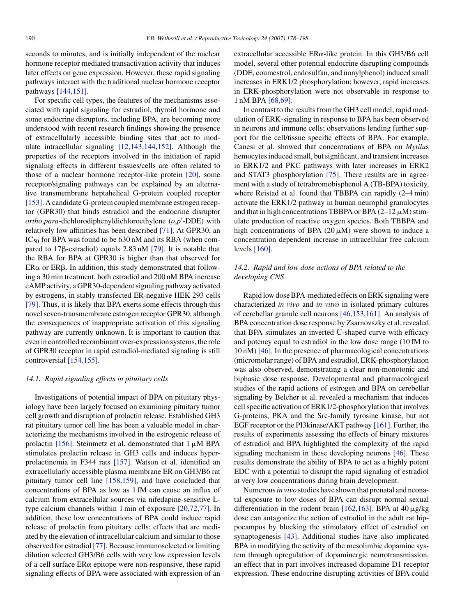seconds to minutes, and is initially independent of the nuclear hormone receptor mediated transactivation activity that induces later effects on gene expression. However, these rapid signaling pathways interact with the traditional nuclear hormone receptor pathways [\[144,151\].](#page-19-24)

For specific cell types, the features of the mechanisms associated with rapid signaling for estradiol, thyroid hormone and some endocrine disruptors, including BPA, are becoming more understood with recent research findings showing the presence of extracellularly accessible binding sites that act to modulate intracellular signaling [\[12,143,144,152\].](#page-16-22) Although the properties of the receptors involved in the initiation of rapid signaling effects in different tissues/cells are often related to those of a nuclear hormone receptor-like protein [\[20\],](#page-16-13) some receptor/signaling pathways can be explained by an alternative transmembrane heptahelical G-protein coupled receptor [\[153\]. A](#page-19-12) candidate G-protein coupled membrane estrogen receptor (GPR30) that binds estradiol and the endocrine disruptor *ortho*,*para*-dichlorodiphenyldichloroethylene (*o*,*p*" -DDE) with relatively low affinities has been described [\[71\].](#page-17-16) At GPR30, an  $IC_{50}$  for BPA was found to be 630 nM and its RBA (when compared to 17 $\beta$ -estradiol) equals 2.83 nM [\[79\].](#page-18-31) It is notable that the RBA for BPA at GPR30 is higher than that observed for  $ER\alpha$  or  $ER\beta$ . In addition, this study demonstrated that following a 30 min treatment, both estradiol and 200 nM BPA increase cAMP activity, a GPR30-dependent signaling pathway activated by estrogens, in stably transfected ER-negative HEK 293 cells [\[79\].](#page-18-31) Thus, it is likely that BPA exerts some effects through this novel seven-transmembrane estrogen receptor GPR30, although the consequences of inappropriate activation of this signaling pathway are currently unknown. It is important to caution that even in controlled recombinant over-expression systems, the role of GPR30 receptor in rapid estradiol-mediated signaling is still controversial [\[154,155\].](#page-19-25)

#### *14.1. Rapid signaling effects in pituitary cells*

Investigations of potential impact of BPA on pituitary physiology have been largely focused on examining pituitary tumor cell growth and disruption of prolactin release. Established GH3 rat pituitary tumor cell line has been a valuable model in characterizing the mechanisms involved in the estrogenic release of prolactin [\[156\].](#page-19-14) Steinmetz et al. demonstrated that  $1 \mu M$  BPA stimulates prolactin release in GH3 cells and induces hyperprolactinemia in F344 rats [\[157\].](#page-19-15) Watson et al. identified an extracellularly accessible plasma membrane ER on GH3/B6 rat pituitary tumor cell line [\[158,159\],](#page-19-16) and have concluded that concentrations of BPA as low as 1 fM can cause an influx of calcium from extracellular sources via nifedapine-sensitive Ltype calcium channels within 1 min of exposure [\[20,72,77\].](#page-16-13) In addition, these low concentrations of BPA could induce rapid release of prolactin from pituitary cells; effects that are mediated by the elevation of intracellular calcium and similar to those observed for estradiol [\[77\]. B](#page-17-26)ecause immunoselected or limiting dilution selected GH3/B6 cells with very low expression levels of a cell surface  $ER\alpha$  epitope were non-responsive, these rapid signaling effects of BPA were associated with expression of an

extracellular accessible  $ER\alpha$ -like protein. In this GH3/B6 cell model, several other potential endocrine disrupting compounds (DDE, coumestrol, endosulfan, and nonylphenol) induced small increases in ERK1/2 phosphorylation; however, rapid increases in ERK-phosphorylation were not observable in response to 1 nM BPA [\[68,69\].](#page-17-27)

In contrast to the results from the GH3 cell model, rapid modulation of ERK-signaling in response to BPA has been observed in neurons and immune cells; observations lending further support for the cell/tissue specific effects of BPA. For example, Canesi et al. showed that concentrations of BPA on *Mytilu*s hemocytes induced small, but significant, and transient increases in ERK1/2 and PKC pathways with later increases in ERK2 and STAT3 phosphorylation [\[75\].](#page-17-25) There results are in agreement with a study of tetrabromobisphenol A (TB-BPA) toxicity, where Reistad et al. found that TBBPA can rapidly (2–4 min) activate the ERK1/2 pathway in human neurophil granulocytes and that in high concentrations TBBPA or BPA  $(2-12 \mu M)$  stimulate production of reactive oxygen species. Both TBBPA and high concentrations of BPA (20  $\mu$ M) were shown to induce a concentration dependent increase in intracellular free calcium levels [\[160\].](#page-20-9)

# *14.2. Rapid and low dose actions of BPA related to the developing CNS*

Rapid low dose BPA-mediated effects on ERK signaling were characterized *in vivo* and *in vitro* in isolated primary cultures of cerebellar granule cell neurons [\[46,153,161\]. A](#page-17-28)n analysis of BPA concentration dose response by Zsarnovszky et al. revealed that BPA stimulates an inverted U-shaped curve with efficacy and potency equal to estradiol in the low dose range (10 fM to 10 nM) [\[46\]. I](#page-17-28)n the presence of pharmacological concentrations (micromolar range) of BPA and estradiol, ERK-phosphorylation was also observed, demonstrating a clear non-monotonic and biphasic dose response. Developmental and pharmacological studies of the rapid actions of estrogen and BPA on cerebellar signaling by Belcher et al. revealed a mechanism that induces cell specific activation of ERK1/2-phosphorylation that involves G-proteins, PKA and the Src-family tyrosine kinase, but not EGF receptor or the PI3kinase/AKT pathway [\[161\]. F](#page-20-12)urther, the results of experiments assessing the effects of binary mixtures of estradiol and BPA highlighted the complexity of the rapid signaling mechanism in these developing neurons [\[46\].](#page-17-28) These results demonstrate the ability of BPA to act as a highly potent EDC with a potential to disrupt the rapid signaling of estradiol at very low concentrations during brain development.

Numerous*in vivo* studies have shown that prenatal and neonatal exposure to low doses of BPA can disrupt normal sexual differentiation in the rodent brain [\[162,163\].](#page-20-11) BPA at  $40 \mu$ g/kg dose can antagonize the action of estradiol in the adult rat hippocampus by blocking the stimulatory effect of estradiol on synaptogenesis [\[43\].](#page-17-0) Additional studies have also implicated BPA in modifying the activity of the mesolimbic dopamine system through upregulation of dopaminergic neurotransmission, an effect that in part involves increased dopamine D1 receptor expression. These endocrine disrupting activities of BPA could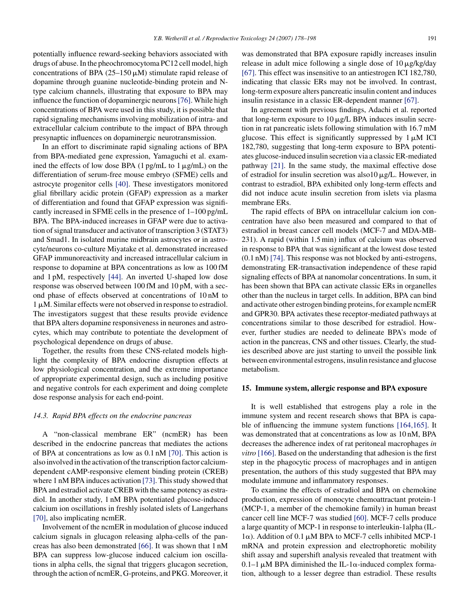potentially influence reward-seeking behaviors associated with drugs of abuse. In the pheochromocytoma PC12 cell model, high concentrations of BPA  $(25-150 \,\mu\text{M})$  stimulate rapid release of dopamine through guanine nucleotide-binding protein and Ntype calcium channels, illustrating that exposure to BPA may influence the function of dopaminergic neurons[\[76\]. W](#page-17-29)hile high concentrations of BPA were used in this study, it is possible that rapid signaling mechanisms involving mobilization of intra- and extracellular calcium contribute to the impact of BPA through presynaptic influences on dopaminergic neurotransmission.

In an effort to discriminate rapid signaling actions of BPA from BPA-mediated gene expression, Yamaguchi et al. examined the effects of low dose BPA (1 pg/mL to 1  $\mu$ g/mL) on the differentiation of serum-free mouse embryo (SFME) cells and astrocyte progenitor cells [\[40\].](#page-16-5) These investigators monitored glial fibrillary acidic protein (GFAP) expression as a marker of differentiation and found that GFAP expression was significantly increased in SFME cells in the presence of 1–100 pg/mL BPA. The BPA-induced increases in GFAP were due to activation of signal transducer and activator of transcription 3 (STAT3) and Smad1. In isolated murine midbrain astrocytes or in astrocyte/neurons co-culture Miyatake et al. demonstrated increased GFAP immunoreactivity and increased intracellular calcium in response to dopamine at BPA concentrations as low as 100 fM and 1 pM, respectively [\[44\].](#page-17-11) An inverted U-shaped low dose response was observed between 100 fM and 10 pM, with a second phase of effects observed at concentrations of 10 nM to  $1 \mu$ M. Similar effects were not observed in response to estradiol. The investigators suggest that these results provide evidence that BPA alters dopamine responsiveness in neurones and astrocytes, which may contribute to potentiate the development of psychological dependence on drugs of abuse.

Together, the results from these CNS-related models highlight the complexity of BPA endocrine disruption effects at low physiological concentration, and the extreme importance of appropriate experimental design, such as including positive and negative controls for each experiment and doing complete dose response analysis for each end-point.

#### *14.3. Rapid BPA effects on the endocrine pancreas*

A "non-classical membrane ER" (ncmER) has been described in the endocrine pancreas that mediates the actions of BPA at concentrations as low as 0.1 nM [\[70\].](#page-17-30) This action is also involved in the activation of the transcription factor calciumdependent cAMP-responsive element binding protein (CREB) where 1 nM BPA induces activation [\[73\]. T](#page-17-31)his study showed that BPA and estradiol activate CREB with the same potency as estradiol. In another study, 1 nM BPA potentiated glucose-induced calcium ion oscillations in freshly isolated islets of Langerhans [\[70\],](#page-17-30) also implicating ncmER.

Involvement of the ncmER in modulation of glucose induced calcium signals in glucagon releasing alpha-cells of the pancreas has also been demonstrated [\[66\].](#page-17-32) It was shown that 1 nM BPA can suppress low-glucose induced calcium ion oscillations in alpha cells, the signal that triggers glucagon secretion, through the action of ncmER, G-proteins, and PKG. Moreover, it was demonstrated that BPA exposure rapidly increases insulin release in adult mice following a single dose of  $10 \mu g/kg/dav$ [\[67\]. T](#page-17-22)his effect was insensitive to an antiestrogen ICI 182,780, indicating that classic ERs may not be involved. In contrast, long-term exposure alters pancreatic insulin content and induces insulin resistance in a classic ER-dependent manner [\[67\].](#page-17-22)

In agreement with previous findings, Adachi et al. reported that long-term exposure to  $10 \mu g/L$  BPA induces insulin secretion in rat pancreatic islets following stimulation with 16.7 mM glucose. This effect is significantly suppressed by  $1 \mu M$  ICI 182,780, suggesting that long-term exposure to BPA potentiates glucose-induced insulin secretion via a classic ER-mediated pathway [\[21\].](#page-16-6) In the same study, the maximal effective dose of estradiol for insulin secretion was also  $10 \mu g/L$ . However, in contrast to estradiol, BPA exhibited only long-term effects and did not induce acute insulin secretion from islets via plasma membrane ERs.

The rapid effects of BPA on intracellular calcium ion concentration have also been measured and compared to that of estradiol in breast cancer cell models (MCF-7 and MDA-MB-231). A rapid (within 1.5 min) influx of calcium was observed in response to BPA that was significant at the lowest dose tested (0.1 nM) [\[74\]. T](#page-17-33)his response was not blocked by anti-estrogens, demonstrating ER-transactivation independence of these rapid signaling effects of BPA at nanomolar concentrations. In sum, it has been shown that BPA can activate classic ERs in organelles other than the nucleus in target cells. In addition, BPA can bind and activate other estrogen binding proteins, for example ncmER and GPR30. BPA activates these receptor-mediated pathways at concentrations similar to those described for estradiol. However, further studies are needed to delineate BPA's mode of action in the pancreas, CNS and other tissues. Clearly, the studies described above are just starting to unveil the possible link between environmental estrogens, insulin resistance and glucose metabolism.

## **15. Immune system, allergic response and BPA exposure**

It is well established that estrogens play a role in the immune system and recent research shows that BPA is capable of influencing the immune system functions [\[164,165\].](#page-20-13) It was demonstrated that at concentrations as low as 10 nM, BPA decreases the adherence index of rat peritoneal macrophages *in vitro* [\[166\]. B](#page-20-14)ased on the understanding that adhesion is the first step in the phagocytic process of macrophages and in antigen presentation, the authors of this study suggested that BPA may modulate immune and inflammatory responses.

To examine the effects of estradiol and BPA on chemokine production, expression of monocyte chemoattractant protein-1 (MCP-1, a member of the chemokine family) in human breast cancer cell line MCF-7 was studied [\[60\]. M](#page-17-18)CF-7 cells produce a large quantity of MCP-1 in response to interleukin-1alpha (IL- $1\alpha$ ). Addition of 0.1  $\mu$ M BPA to MCF-7 cells inhibited MCP-1 mRNA and protein expression and electrophoretic mobility shift assay and supershift analysis revealed that treatment with 0.1–1  $\mu$ M BPA diminished the IL-1 $\alpha$ -induced complex formation, although to a lesser degree than estradiol. These results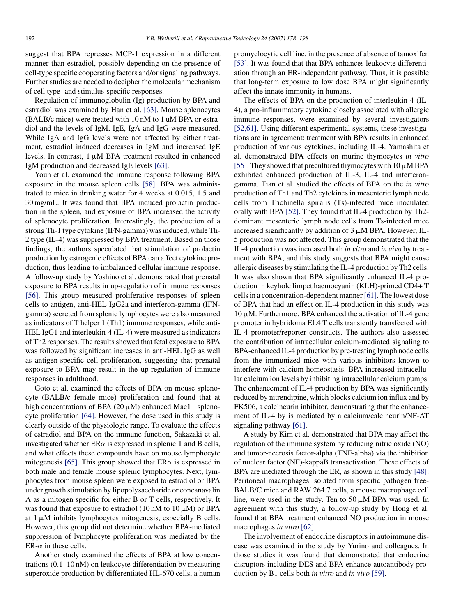suggest that BPA represses MCP-1 expression in a different manner than estradiol, possibly depending on the presence of cell-type specific cooperating factors and/or signaling pathways. Further studies are needed to decipher the molecular mechanism of cell type- and stimulus-specific responses.

Regulation of immunoglobulin (Ig) production by BPA and estradiol was examined by Han et al. [\[63\].](#page-17-35) Mouse splenocytes (BALB/c mice) were treated with 10 nM to 1 uM BPA or estradiol and the levels of IgM, IgE, IgA and IgG were measured. While IgA and IgG levels were not affected by either treatment, estradiol induced decreases in IgM and increased IgE levels. In contrast,  $1 \mu M$  BPA treatment resulted in enhanced IgM production and decreased IgE levels [\[63\].](#page-17-35)

Youn et al. examined the immune response following BPA exposure in the mouse spleen cells [\[58\].](#page-17-26) BPA was administrated to mice in drinking water for 4 weeks at 0.015, 1.5 and 30 mg/mL. It was found that BPA induced prolactin production in the spleen, and exposure of BPA increased the activity of splenocyte proliferation. Interestingly, the production of a strong Th-1 type cytokine (IFN-gamma) was induced, while Th-2 type (IL-4) was suppressed by BPA treatment. Based on those findings, the authors speculated that stimulation of prolactin production by estrogenic effects of BPA can affect cytokine production, thus leading to imbalanced cellular immune response. A follow-up study by Yoshino et al. demonstrated that prenatal exposure to BPA results in up-regulation of immune responses [\[56\].](#page-17-36) This group measured proliferative responses of spleen cells to antigen, anti-HEL IgG2a and interferon-gamma (IFNgamma) secreted from splenic lymphocytes were also measured as indicators of T helper 1 (Th1) immune responses, while anti-HEL IgG1 and interleukin-4 (IL-4) were measured as indicators of Th2 responses. The results showed that fetal exposure to BPA was followed by significant increases in anti-HEL IgG as well as antigen-specific cell proliferation, suggesting that prenatal exposure to BPA may result in the up-regulation of immune responses in adulthood.

Goto et al. examined the effects of BPA on mouse splenocyte (BALB/c female mice) proliferation and found that at high concentrations of BPA (20  $\mu$ M) enhanced Mac1+ splenocyte proliferation [\[64\].](#page-17-37) However, the dose used in this study is clearly outside of the physiologic range. To evaluate the effects of estradiol and BPA on the immune function, Sakazaki et al. investigated whether  $ER\alpha$  is expressed in splenic T and B cells, and what effects these compounds have on mouse lymphocyte mitogenesis [\[65\].](#page-17-13) This group showed that  $ER\alpha$  is expressed in both male and female mouse splenic lymphocytes. Next, lymphocytes from mouse spleen were exposed to estradiol or BPA under growth stimulation by lipopolysaccharide or concanavalin A as a mitogen specific for either B or T cells, respectively. It was found that exposure to estradiol (10 nM to 10  $\mu$ M) or BPA at  $1 \mu$ M inhibits lymphocytes mitogenesis, especially B cells. However, this group did not determine whether BPA-mediated suppression of lymphocyte proliferation was mediated by the  $ER-\alpha$  in these cells.

Another study examined the effects of BPA at low concentrations (0.1–10 nM) on leukocyte differentiation by measuring superoxide production by differentiated HL-670 cells, a human promyelocytic cell line, in the presence of absence of tamoxifen [\[53\].](#page-17-15) It was found that that BPA enhances leukocyte differentiation through an ER-independent pathway. Thus, it is possible that long-term exposure to low dose BPA might significantly affect the innate immunity in humans.

The effects of BPA on the production of interleukin-4 (IL-4), a pro-inflammatory cytokine closely associated with allergic immune responses, were examined by several investigators [\[52,61\].](#page-17-38) Using different experimental systems, these investigations are in agreement: treatment with BPA results in enhanced production of various cytokines, including IL-4. Yamashita et al. demonstrated BPA effects on murine thymocytes *in vitro* [\[55\]. T](#page-17-33)hey showed that precultured thymocytes with 10  $\mu$ M BPA exhibited enhanced production of IL-3, IL-4 and interferongamma. Tian et al. studied the effects of BPA on the *in vitro* production of Th1 and Th2 cytokines in mesenteric lymph node cells from Trichinella spiralis (Ts)-infected mice inoculated orally with BPA [\[52\]. T](#page-17-38)hey found that IL-4 production by Th2 dominant mesenteric lymph node cells from Ts-infected mice increased significantly by addition of  $3 \mu M$  BPA. However, IL-5 production was not affected. This group demonstrated that the IL-4 production was increased both *in vitro* and *in vivo* by treatment with BPA, and this study suggests that BPA might cause allergic diseases by stimulating the IL-4 production by Th2 cells. It was also shown that BPA significantly enhanced IL-4 production in keyhole limpet haemocyanin (KLH)-primed CD4+ T cells in a concentration-dependent manner [\[61\]. T](#page-17-39)he lowest dose of BPA that had an effect on IL-4 production in this study was  $10 \mu$ M. Furthermore, BPA enhanced the activation of IL-4 gene promoter in hybridoma EL4 T cells transiently transfected with IL-4 promoter/reporter constructs. The authors also assessed the contribution of intracellular calcium-mediated signaling to BPA-enhanced IL-4 production by pre-treating lymph node cells from the immunized mice with various inhibitors known to interfere with calcium homeostasis. BPA increased intracellular calcium ion levels by inhibiting intracellular calcium pumps. The enhancement of IL-4 production by BPA was significantly reduced by nitrendipine, which blocks calcium ion influx and by FK506, a calcineurin inhibitor, demonstrating that the enhancement of IL-4 by is mediated by a calcium/calcineurin/NF-AT signaling pathway [\[61\].](#page-17-39)

A study by Kim et al. demonstrated that BPA may affect the regulation of the immune system by reducing nitric oxide (NO) and tumor-necrosis factor-alpha (TNF-alpha) via the inhibition of nuclear factor (NF)-kappaB transactivation. These effects of BPA are mediated through the ER, as shown in this study [\[48\].](#page-17-40) Peritoneal macrophages isolated from specific pathogen free-BALB/C mice and RAW 264.7 cells, a mouse macrophage cell line, were used in the study. Ten to  $50 \mu M$  BPA was used. In agreement with this study, a follow-up study by Hong et al. found that BPA treatment enhanced NO production in mouse macrophages *in vitro* [\[62\].](#page-17-0)

The involvement of endocrine disruptors in autoimmune disease was examined in the study by Yurino and colleagues. In those studies it was found that demonstrated that endocrine disruptors including DES and BPA enhance autoantibody production by B1 cells both *in vitro* and *in vivo* [\[59\].](#page-17-34)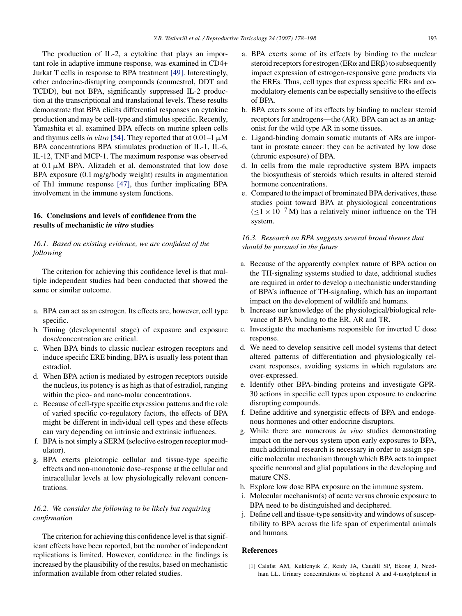The production of IL-2, a cytokine that plays an important role in adaptive immune response, was examined in CD4+ Jurkat T cells in response to BPA treatment [\[49\].](#page-17-41) Interestingly, other endocrine-disrupting compounds (coumestrol, DDT and TCDD), but not BPA, significantly suppressed IL-2 production at the transcriptional and translational levels. These results demonstrate that BPA elicits differential responses on cytokine production and may be cell-type and stimulus specific. Recently, Yamashita et al. examined BPA effects on murine spleen cells and thymus cells *in vitro* [\[54\]. T](#page-17-42)hey reported that at  $0.01-1 \mu M$ BPA concentrations BPA stimulates production of IL-1, IL-6, IL-12, TNF and MCP-1. The maximum response was observed at  $0.1 \mu M$  BPA. Alizadeh et al. demonstrated that low dose BPA exposure (0.1 mg/g/body weight) results in augmentation of Th1 immune response [\[47\],](#page-17-14) thus further implicating BPA involvement in the immune system functions.

# **16. Conclusions and levels of confidence from the results of mechanistic** *in vitro* **studies**

# *16.1. Based on existing evidence, we are confident of the following*

The criterion for achieving this confidence level is that multiple independent studies had been conducted that showed the same or similar outcome.

- a. BPA can act as an estrogen. Its effects are, however, cell type specific.
- b. Timing (developmental stage) of exposure and exposure dose/concentration are critical.
- c. When BPA binds to classic nuclear estrogen receptors and induce specific ERE binding, BPA is usually less potent than estradiol.
- d. When BPA action is mediated by estrogen receptors outside the nucleus, its potency is as high as that of estradiol, ranging within the pico- and nano-molar concentrations.
- e. Because of cell-type specific expression patterns and the role of varied specific co-regulatory factors, the effects of BPA might be different in individual cell types and these effects can vary depending on intrinsic and extrinsic influences.
- f. BPA is not simply a SERM (selective estrogen receptor modulator).
- g. BPA exerts pleiotropic cellular and tissue-type specific effects and non-monotonic dose–response at the cellular and intracellular levels at low physiologically relevant concentrations.

## <span id="page-15-0"></span>*16.2. We consider the following to be likely but requiring confirmation*

The criterion for achieving this confidence level is that significant effects have been reported, but the number of independent replications is limited. However, confidence in the findings is increased by the plausibility of the results, based on mechanistic information available from other related studies.

- a. BPA exerts some of its effects by binding to the nuclear steroid receptors for estrogen ( $ER\alpha$  and  $ER\beta$ ) to subsequently impact expression of estrogen-responsive gene products via the EREs. Thus, cell types that express specific ERs and comodulatory elements can be especially sensitive to the effects of BPA.
- b. BPA exerts some of its effects by binding to nuclear steroid receptors for androgens—the (AR). BPA can act as an antagonist for the wild type AR in some tissues.
- c. Ligand-binding domain somatic mutants of ARs are important in prostate cancer: they can be activated by low dose (chronic exposure) of BPA.
- d. In cells from the male reproductive system BPA impacts the biosynthesis of steroids which results in altered steroid hormone concentrations.
- e. Compared to the impact of brominated BPA derivatives, these studies point toward BPA at physiological concentrations  $(<1 \times 10^{-7}$  M) has a relatively minor influence on the TH system.

## *16.3. Research on BPA suggests several broad themes that should be pursued in the future*

- a. Because of the apparently complex nature of BPA action on the TH-signaling systems studied to date, additional studies are required in order to develop a mechanistic understanding of BPA's influence of TH-signaling, which has an important impact on the development of wildlife and humans.
- b. Increase our knowledge of the physiological/biological relevance of BPA binding to the ER, AR and TR.
- c. Investigate the mechanisms responsible for inverted U dose response.
- d. We need to develop sensitive cell model systems that detect altered patterns of differentiation and physiologically relevant responses, avoiding systems in which regulators are over-expressed.
- e. Identify other BPA-binding proteins and investigate GPR-30 actions in specific cell types upon exposure to endocrine disrupting compounds.
- f. Define additive and synergistic effects of BPA and endogenous hormones and other endocrine disruptors.
- g. While there are numerous *in vivo* studies demonstrating impact on the nervous system upon early exposures to BPA, much additional research is necessary in order to assign specific molecular mechanism through which BPA acts to impact specific neuronal and glial populations in the developing and mature CNS.
- h. Explore low dose BPA exposure on the immune system.
- i. Molecular mechanism(s) of acute versus chronic exposure to BPA need to be distinguished and deciphered.
- j. Define cell and tissue-type sensitivity and windows of susceptibility to BPA across the life span of experimental animals and humans.

## **References**

[1] Calafat AM, Kuklenyik Z, Reidy JA, Caudill SP, Ekong J, Needham LL. Urinary concentrations of bisphenol A and 4-nonylphenol in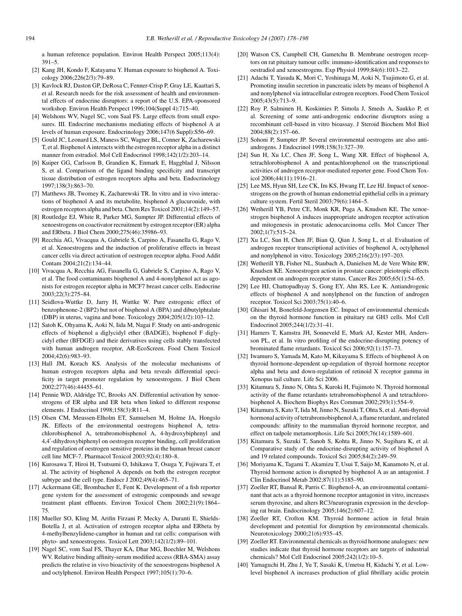<span id="page-16-17"></span><span id="page-16-13"></span><span id="page-16-11"></span><span id="page-16-6"></span>a human reference population. Environ Health Perspect 2005;113(4): 391–5.

- <span id="page-16-14"></span><span id="page-16-9"></span><span id="page-16-8"></span><span id="page-16-3"></span><span id="page-16-1"></span><span id="page-16-0"></span>[2] Kang JH, Kondo F, Katayama Y. Human exposure to bisphenol A. Toxicology 2006;226(2/3):79–89.
- <span id="page-16-12"></span><span id="page-16-2"></span>[3] Kavlock RJ, Daston GP, DeRosa C, Fenner-Crisp P, Gray LE, Kaattari S, et al. Research needs for the risk assessment of health and environmental effects of endocrine disruptors: a report of the U.S. EPA-sponsored workshop. Environ Health Perspect 1996;104(Suppl 4):715–40.
- <span id="page-16-21"></span><span id="page-16-18"></span><span id="page-16-15"></span>[4] Welshons WV, Nagel SC, vom Saal FS. Large effects from small exposures. III. Endocrine mechanisms mediating effects of bisphenol A at levels of human exposure. Endocrinology 2006;147(6 Suppl):S56–69.
- <span id="page-16-28"></span>[5] Gould JC, Leonard LS, Maness SC, Wagner BL, Conner K, Zacharewski T, et al. Bisphenol A interacts with the estrogen receptor alpha in a distinct manner from estradiol. Mol Cell Endocrinol 1998;142(1/2):203–14.
- <span id="page-16-31"></span><span id="page-16-23"></span><span id="page-16-10"></span>[6] Kuiper GG, Carlsson B, Grandien K, Enmark E, Haggblad J, Nilsson S, et al. Comparison of the ligand binding specificity and transcript tissue distribution of estrogen receptors alpha and beta. Endocrinology 1997;138(3):863–70.
- <span id="page-16-30"></span><span id="page-16-19"></span>[7] Matthews JB, Twomey K, Zacharewski TR. In vitro and in vivo interactions of bisphenol A and its metabolite, bisphenol A glucuronide, with estrogen receptors alpha and beta. Chem Res Toxicol 2001;14(2):149–57.
- <span id="page-16-7"></span>[8] Routledge EJ, White R, Parker MG, Sumpter JP. Differential effects of xenoestrogens on coactivator recruitment by estrogen receptor (ER) alpha and ERbeta. J Biol Chem 2000;275(46):35986–93.
- <span id="page-16-29"></span><span id="page-16-20"></span>[9] Recchia AG, Vivacqua A, Gabriele S, Carpino A, Fasanella G, Rago V, et al. Xenoestrogens and the induction of proliferative effects in breast cancer cells via direct activation of oestrogen receptor alpha. Food Addit Contam 2004;21(2):134–44.
- <span id="page-16-27"></span><span id="page-16-22"></span><span id="page-16-4"></span>[10] Vivacqua A, Recchia AG, Fasanella G, Gabriele S, Carpino A, Rago V, et al. The food contaminants bisphenol A and 4-nonylphenol act as agonists for estrogen receptor alpha in MCF7 breast cancer cells. Endocrine 2003;22(3):275–84.
- <span id="page-16-35"></span><span id="page-16-34"></span>[11] Seidlova-Wuttke D, Jarry H, Wuttke W. Pure estrogenic effect of benzophenone-2 (BP2) but not of bisphenol A (BPA) and dibutylphtalate (DBP) in uterus, vagina and bone. Toxicology 2004;205(1/2):103–12.
- <span id="page-16-32"></span><span id="page-16-25"></span>[12] Satoh K, Ohyama K, Aoki N, Iida M, Nagai F. Study on anti-androgenic effects of bisphenol a diglycidyl ether (BADGE), bisphenol F diglycidyl ether (BFDGE) and their derivatives using cells stably transfected with human androgen receptor, AR-EcoScreen. Food Chem Toxicol 2004;42(6):983–93.
- <span id="page-16-24"></span><span id="page-16-16"></span>[13] Hall JM, Korach KS. Analysis of the molecular mechanisms of human estrogen receptors alpha and beta reveals differential specificity in target promoter regulation by xenoestrogens. J Biol Chem 2002;277(46):44455–61.
- <span id="page-16-33"></span>[14] Pennie WD, Aldridge TC, Brooks AN. Differential activation by xenoestrogens of ER alpha and ER beta when linked to different response elements. J Endocrinol 1998;158(3):R11–4.
- <span id="page-16-26"></span>[15] Olsen CM, Meussen-Elholm ET, Samuelsen M, Holme JA, Hongslo JK. Effects of the environmental oestrogens bisphenol A, tetrachlorobisphenol A, tetrabromobisphenol A, 4-hydroxybiphenyl and 4,4" -dihydroxybiphenyl on oestrogen receptor binding, cell proliferation and regulation of oestrogen sensitive proteins in the human breast cancer cell line MCF-7. Pharmacol Toxicol 2003;92(4):180–8.
- <span id="page-16-36"></span>[16] Kurosawa T, Hiroi H, Tsutsumi O, Ishikawa T, Osuga Y, Fujiwara T, et al. The activity of bisphenol A depends on both the estrogen receptor subtype and the cell type. Endocr J 2002;49(4):465–71.
- [17] Ackermann GE, Brombacher E, Fent K. Development of a fish reporter gene system for the assessment of estrogenic compounds and sewage treatment plant effluents. Environ Toxicol Chem 2002;21(9):1864– 75.
- <span id="page-16-5"></span>[18] Mueller SO, Kling M, Arifin Firzani P, Mecky A, Duranti E, Shields-Botella J, et al. Activation of estrogen receptor alpha and ERbeta by 4-methylbenzylidene-camphor in human and rat cells: comparison with phyto- and xenoestrogens. Toxicol Lett 2003;142(1/2):89–101.
- [19] Nagel SC, vom Saal FS, Thayer KA, Dhar MG, Boechler M, Welshons WV. Relative binding affinity-serum modified access (RBA-SMA) assay predicts the relative in vivo bioactivity of the xenoestrogens bisphenol A and octylphenol. Environ Health Perspect 1997;105(1):70–6.
- [20] Watson CS, Campbell CH, Gametchu B. Membrane oestrogen receptors on rat pituitary tumour cells: immuno-identification and responses to oestradiol and xenoestrogens. Exp Physiol 1999;84(6):1013–22.
- [21] Adachi T, Yasuda K, Mori C, Yoshinaga M, Aoki N, Tsujimoto G, et al. Promoting insulin secretion in pancreatic islets by means of bisphenol A and nonylphenol via intracellular estrogen receptors. Food Chem Toxicol 2005;43(5):713–9.
- [22] Roy P, Salminen H, Koskimies P, Simola J, Smeds A, Saukko P, et al. Screening of some anti-androgenic endocrine disruptors using a recombinant cell-based in vitro bioassay. J Steroid Biochem Mol Biol 2004;88(2):157–66.
- [23] Sohoni P, Sumpter JP. Several environmental oestrogens are also antiandrogens. J Endocrinol 1998;158(3):327–39.
- [24] Sun H, Xu LC, Chen JF, Song L, Wang XR. Effect of bisphenol A, tetrachlorobisphenol A and pentachlorophenol on the transcriptional activities of androgen receptor-mediated reporter gene. Food Chem Toxicol 2006;44(11):1916–21.
- [25] Lee MS, Hyun SH, Lee CK, Im KS, Hwang IT, Lee HJ. Impact of xenoestrogens on the growth of human endometrial epithelial cells in a primary culture system. Fertil Steril 2003;79(6):1464–5.
- [26] Wetherill YB, Petre CE, Monk KR, Puga A, Knudsen KE. The xenoestrogen bisphenol A induces inappropriate androgen receptor activation and mitogenesis in prostatic adenocarcinoma cells. Mol Cancer Ther 2002;1(7):515–24.
- [27] Xu LC, Sun H, Chen JF, Bian Q, Qian J, Song L, et al. Evaluation of androgen receptor transcriptional activities of bisphenol A, octylphenol and nonylphenol in vitro. Toxicology 2005;216(2/3):197–203.
- [28] Wetherill YB, Fisher NL, Staubach A, Danielsen M, de Vere White RW, Knudsen KE. Xenoestrogen action in prostate cancer: pleiotropic effects dependent on androgen receptor status. Cancer Res 2005;65(1):54–65.
- [29] Lee HJ, Chattopadhyay S, Gong EY, Ahn RS, Lee K. Antiandrogenic effects of bisphenol A and nonylphenol on the function of androgen receptor. Toxicol Sci 2003;75(1):40–6.
- [30] Ghisari M, Bonefeld-Jorgensen EC. Impact of environmental chemicals on the thyroid hormone function in pituitary rat GH3 cells. Mol Cell Endocrinol 2005;244(1/2):31–41.
- [31] Hamers T, Kamstra JH, Sonneveld E, Murk AJ, Kester MH, Andersson PL, et al. In vitro profiling of the endocrine-disrupting potency of brominated flame retardants. Toxicol Sci 2006;92(1):157–73.
- [32] Iwamuro S, Yamada M, Kato M, Kikuyama S. Effects of bisphenol A on thyroid hormone-dependent up-regulation of thyroid hormone receptor alpha and beta and down-regulation of retinoid X receptor gamma in Xenopus tail culture. Life Sci 2006.
- [33] Kitamura S, Jinno N, Ohta S, Kuroki H, Fujimoto N. Thyroid hormonal activity of the flame retardants tetrabromobisphenol A and tetrachlorobisphenol A. Biochem Biophys Res Commun 2002;293(1):554–9.
- [34] Kitamura S, Kato T, Iida M, Jinno N, Suzuki T, Ohta S, et al. Anti-thyroid hormonal activity of tetrabromobisphenol A, a flame retardant, and related compounds: affinity to the mammalian thyroid hormone receptor, and effect on tadpole metamorphosis. Life Sci 2005;76(14):1589–601.
- [35] Kitamura S, Suzuki T, Sanoh S, Kohta R, Jinno N, Sugihara K, et al. Comparative study of the endocrine-disrupting activity of bisphenol A and 19 related compounds. Toxicol Sci 2005;84(2):249–59.
- [36] Moriyama K, Tagami T, Akamizu T, Usui T, Saijo M, Kanamoto N, et al. Thyroid hormone action is disrupted by bisphenol A as an antagonist. J Clin Endocrinol Metab 2002;87(11):5185–90.
- [37] Zoeller RT, Bansal R, Parris C. Bisphenol-A, an environmental contaminant that acts as a thyroid hormone receptor antagonist in vitro, increases serum thyroxine, and alters RC3/neurogranin expression in the developing rat brain. Endocrinology 2005;146(2):607–12.
- [38] Zoeller RT, Crofton KM. Thyroid hormone action in fetal brain development and potential for disruption by environmental chemicals. Neurotoxicology 2000;21(6):935–45.
- [39] Zoeller RT. Environmental chemicals as thyroid hormone analogues: new studies indicate that thyroid hormone receptors are targets of industrial chemicals? Mol Cell Endocrinol 2005;242(1/2):10–5.
- [40] Yamaguchi H, Zhu J, Yu T, Sasaki K, Umetsu H, Kidachi Y, et al. Lowlevel bisphenol A increases production of glial fibrillary acidic protein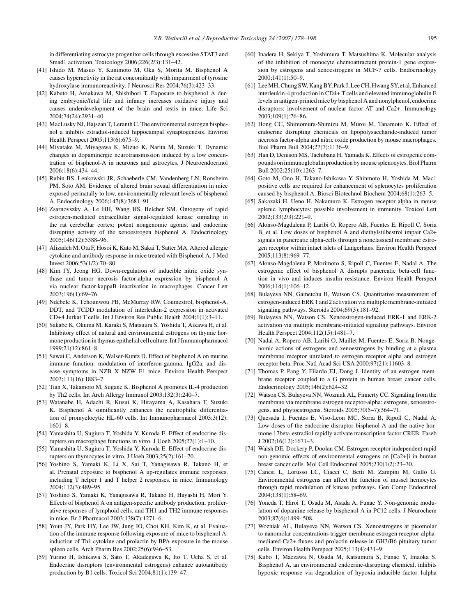<span id="page-17-18"></span><span id="page-17-10"></span><span id="page-17-8"></span><span id="page-17-7"></span><span id="page-17-6"></span><span id="page-17-5"></span><span id="page-17-2"></span>in differentiating astrocyte progenitor cells through excessive STAT3 and Smad1 activation. Toxicology 2006;226(2/3):131–42.

- <span id="page-17-39"></span><span id="page-17-20"></span><span id="page-17-19"></span><span id="page-17-9"></span><span id="page-17-4"></span><span id="page-17-0"></span>[41] Ishido M, Masuo Y, Kunimoto M, Oka S, Morita M. Bisphenol A causes hyperactivity in the rat concomitantly with impairment of tyrosine hydroxylase immunoreactivity. J Neurosci Res 2004;76(3):423–33.
- <span id="page-17-11"></span>[42] Kabuto H, Amakawa M, Shishibori T. Exposure to bisphenol A during embryonic/fetal life and infancy increases oxidative injury and causes underdevelopment of the brain and testis in mice. Life Sci 2004;74(24):2931–40.
- <span id="page-17-37"></span><span id="page-17-35"></span><span id="page-17-23"></span><span id="page-17-12"></span>[43] MacLusky NJ, Hajszan T, Leranth C. The environmental estrogen bisphenol a inhibits estradiol-induced hippocampal synaptogenesis. Environ Health Perspect 2005;113(6):675–9.
- <span id="page-17-21"></span><span id="page-17-13"></span>[44] Miyatake M, Miyagawa K, Mizuo K, Narita M, Suzuki T. Dynamic changes in dopaminergic neurotransmission induced by a low concentration of bisphenol-A in neurones and astrocytes. J Neuroendocrinol 2006;18(6):434–44.
- <span id="page-17-32"></span><span id="page-17-28"></span>[45] Rubin BS, Lenkowski JR, Schaeberle CM, Vandenberg LN, Ronsheim PM, Soto AM. Evidence of altered brain sexual differentiation in mice exposed perinatally to low, environmentally relevant levels of bisphenol A. Endocrinology 2006;147(8):3681–91.
- <span id="page-17-40"></span><span id="page-17-24"></span><span id="page-17-22"></span><span id="page-17-14"></span>[46] Zsarnovszky A, Le HH, Wang HS, Belcher SM. Ontogeny of rapid estrogen-mediated extracellular signal-regulated kinase signaling in the rat cerebellar cortex: potent nongenomic agonist and endocrine disrupting activity of the xenoestrogen bisphenol A. Endocrinology 2005;146(12):5388–96.
- <span id="page-17-41"></span><span id="page-17-27"></span><span id="page-17-3"></span>[47] Alizadeh M, Ota F, Hosoi K, Kato M, Sakai T, Satter MA. Altered allergic cytokine and antibody response in mice treated with Bisphenol A. J Med Invest 2006;53(1/2):70–80.
- <span id="page-17-1"></span>[48] Kim JY, Jeong HG. Down-regulation of inducible nitric oxide synthase and tumor necrosis factor-alpha expression by bisphenol A via nuclear factor-kappaB inactivation in macrophages. Cancer Lett 2003;196(1):69–76.
- <span id="page-17-30"></span><span id="page-17-17"></span>[49] Ndebele K, Tchounwou PB, McMurray RW. Coumestrol, bisphenol-A, DDT, and TCDD modulation of interleukin-2 expression in activated CD+4 Jurkat T cells. Int J Environ Res Public Health 2004;1(1):3–11.
- <span id="page-17-16"></span>[50] Sakabe K, Okuma M, Karaki S, Matsuura S, Yoshida T, Aikawa H, et al. Inhibitory effect of natural and environmental estrogens on thymic hormone production in thymus epithelial cell culture. Int J Immunopharmacol 1999;21(12):861–8.
- <span id="page-17-38"></span><span id="page-17-15"></span>[51] Sawai C, Anderson K, Walser-Kuntz D. Effect of bisphenol A on murine immune function: modulation of interferon-gamma, IgG2a, and disease symptoms in NZB X NZW F1 mice. Environ Health Perspect 2003;111(16):1883–7.
- <span id="page-17-42"></span><span id="page-17-31"></span>[52] Tian X, Takamoto M, Sugane K. Bisphenol A promotes IL-4 production by Th2 cells. Int Arch Allergy Immunol 2003;132(3):240–7.
- <span id="page-17-33"></span>[53] Watanabe H, Adachi R, Kusui K, Hirayama A, Kasahara T, Suzuki K. Bisphenol A significantly enhances the neutrophilic differentiation of promyelocytic HL-60 cells. Int Immunopharmacol 2003;3(12): 1601–8.
- <span id="page-17-36"></span><span id="page-17-25"></span>[54] Yamashita U, Sugiura T, Yoshida Y, Kuroda E. Effect of endocrine disrupters on macrophage functions in vitro. J Uoeh 2005;27(1):1–10.
- [55] Yamashita U, Sugiura T, Yoshida Y, Kuroda E. Effect of endocrine disrupters on thymocytes in vitro. J Uoeh 2003;25(2):161–70.
- <span id="page-17-29"></span>[56] Yoshino S, Yamaki K, Li X, Sai T, Yanagisawa R, Takano H, et al. Prenatal exposure to bisphenol A up-regulates immune responses, including T helper 1 and T helper 2 responses, in mice. Immunology 2004;112(3):489–95.
- <span id="page-17-26"></span>[57] Yoshino S, Yamaki K, Yanagisawa R, Takano H, Hayashi H, Mori Y. Effects of bisphenol A on antigen-specific antibody production, proliferative responses of lymphoid cells, and TH1 and TH2 immune responses in mice. Br J Pharmacol 2003;138(7):1271–6.
- <span id="page-17-34"></span>[58] Youn JY, Park HY, Lee JW, Jung IO, Choi KH, Kim K, et al. Evaluation of the immune response following exposure of mice to bisphenol A: induction of Th1 cytokine and prolactin by BPA exposure in the mouse spleen cells. Arch Pharm Res 2002;25(6):946–53.
- [59] Yurino H, Ishikawa S, Sato T, Akadegawa K, Ito T, Ueha S, et al. Endocrine disruptors (environmental estrogens) enhance autoantibody production by B1 cells. Toxicol Sci 2004;81(1):139–47.
- [60] Inadera H, Sekiya T, Yoshimura T, Matsushima K. Molecular analysis of the inhibition of monocyte chemoattractant protein-1 gene expression by estrogens and xenoestrogens in MCF-7 cells. Endocrinology  $2000:141(1):50-9$ .
- [61] LeeMH, Chung SW, Kang BY, Park J, Lee CH, Hwang SY, et al. Enhanced interleukin-4 production in CD4+ T cells and elevated immunoglobulin E levels in antigen-primed mice by bisphenol A and nonylphenol, endocrine disruptors: involvement of nuclear factor-AT and Ca2+. Immunology 2003;109(1):76–86.
- [62] Hong CC, Shimomura-Shimizu M, Muroi M, Tanamoto K. Effect of endocrine disrupting chemicals on lipopolysaccharide-induced tumor necrosis factor-alpha and nitric oxide production by mouse macrophages. Biol Pharm Bull 2004;27(7):1136–9.
- [63] Han D, Denison MS, Tachibana H, Yamada K. Effects of estrogenic compounds on immunoglobulin production by mouse splenocytes. Biol Pharm Bull 2002;25(10):1263–7.
- [64] Goto M, Ono H, Takano-Ishikawa Y, Shinmoto H, Yoshida M. Mac1 positive cells are required for enhancement of splenocytes proliferation caused by bisphenol A. Biosci Biotechnol Biochem 2004;68(1):263–5.
- [65] Sakazaki H, Ueno H, Nakamuro K. Estrogen receptor alpha in mouse splenic lymphocytes: possible involvement in immunity. Toxicol Lett 2002;133(2/3):221–9.
- [66] Alonso-Magdalena P, Laribi O, Ropero AB, Fuentes E, Ripoll C, Soria B, et al. Low doses of bisphenol A and diethylstilbestrol impair Ca2+ signals in pancreatic alpha-cells through a nonclassical membrane estrogen receptor within intact islets of Langerhans. Environ Health Perspect 2005;113(8):969–77.
- [67] Alonso-Magdalena P, Morimoto S, Ripoll C, Fuentes E, Nadal A. The estrogenic effect of bisphenol A disrupts pancreatic beta-cell function in vivo and induces insulin resistance. Environ Health Perspect 2006;114(1):106–12.
- [68] Bulayeva NN, Gametchu B, Watson CS. Quantitative measurement of estrogen-induced ERK 1 and 2 activation via multiple membrane-initiated signaling pathways. Steroids 2004;69(3):181–92.
- [69] Bulayeva NN, Watson CS. Xenoestrogen-induced ERK-1 and ERK-2 activation via multiple membrane-initiated signaling pathways. Environ Health Perspect 2004;112(15):1481–7.
- [70] Nadal A, Ropero AB, Laribi O, Maillet M, Fuentes E, Soria B. Nongenomic actions of estrogens and xenoestrogens by binding at a plasma membrane receptor unrelated to estrogen receptor alpha and estrogen receptor beta. Proc Natl Acad Sci USA 2000;97(21):11603–8.
- [71] Thomas P, Pang Y, Filardo EJ, Dong J. Identity of an estrogen membrane receptor coupled to a G protein in human breast cancer cells. Endocrinology 2005;146(2):624–32.
- [72] Watson CS, Bulayeva NN, Wozniak AL, Finnerty CC. Signaling from the membrane via membrane estrogen receptor-alpha: estrogens, xenoestrogens, and phytoestrogens. Steroids 2005;70(5–7):364–71.
- [73] Quesada I, Fuentes E, Viso-Leon MC, Soria B, Ripoll C, Nadal A. Low doses of the endocrine disruptor bisphenol-A and the native hormone 17beta-estradiol rapidly activate transcription factor CREB. Faseb J 2002;16(12):1671–3.
- [74] Walsh DE, Dockery P, Doolan CM. Estrogen receptor independent rapid non-genomic effects of environmental estrogens on [Ca2+]i in human breast cancer cells. Mol Cell Endocrinol 2005;230(1/2):23–30.
- [75] Canesi L, Lorusso LC, Ciacci C, Betti M, Zampini M, Gallo G. Environmental estrogens can affect the function of mussel hemocytes through rapid modulation of kinase pathways. Gen Comp Endocrinol 2004;138(1):58–69.
- [76] Yoneda T, Hiroi T, Osada M, Asada A, Funae Y. Non-genomic modulation of dopamine release by bisphenol-A in PC12 cells. J Neurochem 2003;87(6):1499–508.
- [77] Wozniak AL, Bulayeva NN, Watson CS. Xenoestrogens at picomolar to nanomolar concentrations trigger membrane estrogen receptor-alphamediated Ca2+ fluxes and prolactin release in GH3/B6 pituitary tumor cells. Environ Health Perspect 2005;113(4):431–9.
- [78] Kubo T, Maezawa N, Osada M, Katsumura S, Funae Y, Imaoka S. Bisphenol A, an environmental endocrine-disrupting chemical, inhibits hypoxic response via degradation of hypoxia-inducible factor 1alpha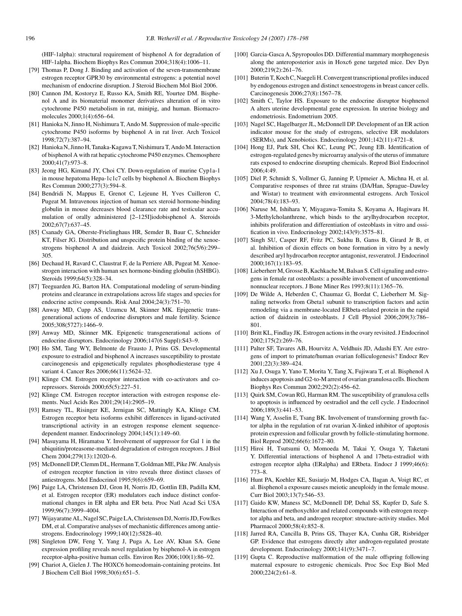<span id="page-18-31"></span><span id="page-18-7"></span><span id="page-18-6"></span><span id="page-18-3"></span>(HIF-1alpha): structural requirement of bisphenol A for degradation of HIF-1alpha. Biochem Biophys Res Commun 2004;318(4):1006–11.

- <span id="page-18-17"></span><span id="page-18-16"></span><span id="page-18-15"></span><span id="page-18-0"></span>[79] Thomas P, Dong J. Binding and activation of the seven-transmembrane estrogen receptor GPR30 by environmental estrogens: a potential novel mechanism of endocrine disruption. J Steroid Biochem Mol Biol 2006.
- <span id="page-18-18"></span>[80] Cannon JM, Kostoryz E, Russo KA, Smith RE, Yourtee DM. Bisphenol A and its biomaterial monomer derivatives alteration of in vitro cytochrome P450 metabolism in rat, minipig, and human. Biomacromolecules 2000;1(4):656–64.
- <span id="page-18-19"></span>[81] Hanioka N, Jinno H, Nishimura T, Ando M. Suppression of male-specific cytochrome P450 isoforms by bisphenol A in rat liver. Arch Toxicol 1998;72(7):387–94.
- <span id="page-18-1"></span>[82] Hanioka N, Jinno H, Tanaka-Kagawa T, Nishimura T, Ando M. Interaction of bisphenol A with rat hepatic cytochrome P450 enzymes. Chemosphere 2000;41(7):973–8.
- <span id="page-18-20"></span><span id="page-18-5"></span>[83] Jeong HG, Kimand JY, Choi CY. Down-regulation of murine Cyp1a-1 in mouse hepatoma Hepa-1c1c7 cells by bisphenol A. Biochem Biophys Res Commun 2000;277(3):594–8.
- [84] Bendridi N, Mappus E, Grenot C, Lejeune H, Yves Cuilleron C, Pugeat M. Intravenous injection of human sex steroid hormone-binding globulin in mouse decreases blood clearance rate and testicular accumulation of orally administered [2–125I]iodobisphenol A. Steroids 2002;67(7):637–45.
- <span id="page-18-21"></span>[85] Csanady GA, Oberste-Frielinghaus HR, Semder B, Baur C, Schneider KT, Filser JG. Distribution and unspecific protein binding of the xenoestrogens bisphenol A and daidzein. Arch Toxicol 2002;76(5/6):299– 305.
- <span id="page-18-22"></span><span id="page-18-2"></span>[86] Dechaud H, Ravard C, Claustrat F, de la Perriere AB, Pugeat M. Xenoestrogen interaction with human sex hormone-binding globulin (hSHBG). Steroids 1999;64(5):328–34.
- <span id="page-18-23"></span>[87] Teeguarden JG, Barton HA. Computational modeling of serum-binding proteins and clearance in extrapolations across life stages and species for endocrine active compounds. Risk Anal 2004;24(3):751–70.
- <span id="page-18-14"></span>[88] Anway MD, Cupp AS, Uzumcu M, Skinner MK. Epigenetic transgenerational actions of endocrine disruptors and male fertility. Science 2005;308(5727):1466–9.
- <span id="page-18-24"></span><span id="page-18-8"></span>[89] Anway MD, Skinner MK. Epigenetic transgenerational actions of endocrine disruptors. Endocrinology 2006;147(6 Suppl):S43–9.
- <span id="page-18-25"></span><span id="page-18-4"></span>[90] Ho SM, Tang WY, Belmonte de Frausto J, Prins GS. Developmental exposure to estradiol and bisphenol A increases susceptibility to prostate carcinogenesis and epigenetically regulates phosphodiesterase type 4 variant 4. Cancer Res 2006;66(11):5624–32.
- <span id="page-18-9"></span>[91] Klinge CM. Estrogen receptor interaction with co-activators and corepressors. Steroids 2000;65(5):227–51.
- <span id="page-18-10"></span>[92] Klinge CM. Estrogen receptor interaction with estrogen response elements. Nucl Acids Res 2001;29(14):2905–19.
- <span id="page-18-26"></span><span id="page-18-11"></span>[93] Ramsey TL, Risinger KE, Jernigan SC, Mattingly KA, Klinge CM. Estrogen receptor beta isoforms exhibit differences in ligand-activated transcriptional activity in an estrogen response element sequencedependent manner. Endocrinology 2004;145(1):149–60.
- <span id="page-18-27"></span>[94] Masuyama H, Hiramatsu Y. Involvement of suppressor for Gal 1 in the ubiquitin/proteasome-mediated degradation of estrogen receptors. J Biol Chem 2004;279(13):12020–6.
- <span id="page-18-28"></span>[95] McDonnell DP, Clemm DL, Hermann T, Goldman ME, Pike JW. Analysis of estrogen receptor function in vitro reveals three distinct classes of antiestrogens. Mol Endocrinol 1995;9(6):659–69.
- <span id="page-18-29"></span><span id="page-18-12"></span>[96] Paige LA, Christensen DJ, Gron H, Norris JD, Gottlin EB, Padilla KM, et al. Estrogen receptor (ER) modulators each induce distinct conformational changes in ER alpha and ER beta. Proc Natl Acad Sci USA 1999;96(7):3999–4004.
- <span id="page-18-30"></span><span id="page-18-13"></span>[97] Wijayaratne AL, Nagel SC, Paige LA, Christensen DJ, Norris JD, Fowlkes DM, et al. Comparative analyses of mechanistic differences among antiestrogens. Endocrinology 1999;140(12):5828–40.
- [98] Singleton DW, Feng Y, Yang J, Puga A, Lee AV, Khan SA. Gene expression profiling reveals novel regulation by bisphenol-A in estrogen receptor-alpha-positive human cells. Environ Res 2006;100(1):86–92.
- [99] Chariot A, Gielen J. The HOXC6 homeodomain-containing proteins. Int J Biochem Cell Biol 1998;30(6):651–5.
- [100] Garcia-Gasca A, Spyropoulos DD. Differential mammary morphogenesis along the anteroposterior axis in Hoxc6 gene targeted mice. Dev Dyn 2000;219(2):261–76.
- [101] Buterin T, Koch C, Naegeli H. Convergent transcriptional profiles induced by endogenous estrogen and distinct xenoestrogens in breast cancer cells. Carcinogenesis 2006;27(8):1567–78.
- [102] Smith C, Taylor HS. Exposure to the endocrine disruptor bisphnenol A alters uterine developmental gene expression. In uterine biology and endometriosis. Endometrium 2005.
- [103] Nagel SC, Hagelbarger JL, McDonnell DP. Development of an ER action indicator mouse for the study of estrogens, selective ER modulators (SERMs), and Xenobiotics. Endocrinology 2001;142(11):4721–8.
- [104] Hong EJ, Park SH, Choi KC, Leung PC, Jeung EB. Identification of estrogen-regulated genes by microarray analysis of the uterus of immature rats exposed to endocrine disrupting chemicals. Reprod Biol Endocrinol 2006;4:49.
- [105] Diel P, Schmidt S, Vollmer G, Janning P, Upmeier A, Michna H, et al. Comparative responses of three rat strains (DA/Han, Sprague–Dawley and Wistar) to treatment with environmental estrogens. Arch Toxicol 2004;78(4):183–93.
- [106] Naruse M, Ishihara Y, Miyagawa-Tomita S, Koyama A, Hagiwara H. 3-Methylcholanthrene, which binds to the arylhydrocarbon receptor, inhibits proliferation and differentiation of osteoblasts in vitro and ossification in vivo. Endocrinology 2002;143(9):3575–81.
- [107] Singh SU, Casper RF, Fritz PC, Sukhu B, Ganss B, Girard Jr B, et al. Inhibition of dioxin effects on bone formation in vitro by a newly described aryl hydrocarbon receptor antagonist, resveratrol. J Endocrinol 2000;167(1):183–95.
- [108] Lieberherr M, Grosse B, Kachkache M, Balsan S. Cell signaling and estrogens in female rat osteoblasts: a possible involvement of unconventional nonnuclear receptors. J Bone Miner Res 1993;8(11):1365–76.
- [109] De Wilde A, Heberden C, Chaumaz G, Bordat C, Lieberherr M, Signaling networks from Gbeta1 subunit to transcription factors and actin remodeling via a membrane-located ERbeta-related protein in the rapid action of daidzein in osteoblasts. J Cell Physiol 2006;209(3):786– 801.
- [110] Britt KL, Findlay JK. Estrogen actions in the ovary revisited. J Endocrinol 2002;175(2):269–76.
- [111] Palter SF, Tavares AB, Hourvitz A, Veldhuis JD, Adashi EY. Are estrogens of import to primate/human ovarian folliculogenesis? Endocr Rev 2001;22(3):389–424.
- [112] Xu J, Osuga Y, Yano T, Morita Y, Tang X, Fujiwara T, et al. Bisphenol A induces apoptosis and G2-to-M arrest of ovarian granulosa cells. Biochem Biophys Res Commun 2002;292(2):456–62.
- [113] Ouirk SM, Cowan RG, Harman RM. The susceptibility of granulosa cells to apoptosis is influenced by oestradiol and the cell cycle. J Endocrinol 2006;189(3):441–53.
- [114] Wang Y, Asselin E, Tsang BK. Involvement of transforming growth factor alpha in the regulation of rat ovarian X-linked inhibitor of apoptosis protein expression and follicular growth by follicle-stimulating hormone. Biol Reprod 2002;66(6):1672–80.
- [115] Hiroi H, Tsutsumi O, Momoeda M, Takai Y, Osuga Y, Taketani Y. Differential interactions of bisphenol A and 17beta-estradiol with estrogen receptor alpha (ERalpha) and ERbeta. Endocr J 1999;46(6): 773–8.
- [116] Hunt PA, Koehler KE, Susiarjo M, Hodges CA, Ilagan A, Voigt RC, et al. Bisphenol a exposure causes meiotic aneuploidy in the female mouse. Curr Biol 2003;13(7):546–53.
- [117] Gaido KW, Maness SC, McDonnell DP, Dehal SS, Kupfer D, Safe S. Interaction of methoxychlor and related compounds with estrogen receptor alpha and beta, and androgen receptor: structure-activity studies. Mol Pharmacol 2000;58(4):852–8.
- [118] Jarred RA, Cancilla B, Prins GS, Thayer KA, Cunha GR, Risbridger GP. Evidence that estrogens directly alter androgen-regulated prostate development. Endocrinology 2000;141(9):3471–7.
- [119] Gupta C. Reproductive malformation of the male offspring following maternal exposure to estrogenic chemicals. Proc Soc Exp Biol Med 2000;224(2):61–8.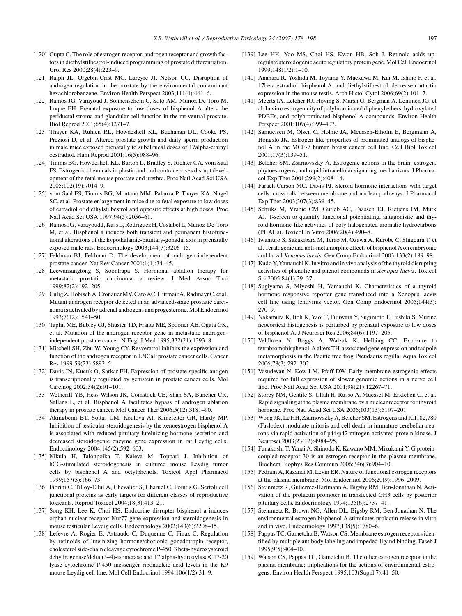- <span id="page-19-7"></span><span id="page-19-5"></span><span id="page-19-1"></span><span id="page-19-0"></span>[120] Gupta C. The role of estrogen receptor, androgen receptor and growth factors in diethylstilbestrol-induced programming of prostate differentiation. Urol Res 2000;28(4):223–9.
- <span id="page-19-6"></span>[121] Ralph JL, Orgebin-Crist MC, Lareyre JJ, Nelson CC. Disruption of androgen regulation in the prostate by the environmental contaminant hexachlorobenzene. Environ Health Perspect 2003;111(4):461–6.
- [122] Ramos JG, Varayoud J, Sonnenschein C, Soto AM, Munoz De Toro M, Luque EH. Prenatal exposure to low doses of bisphenol A alters the periductal stroma and glandular cell function in the rat ventral prostate. Biol Reprod 2001;65(4):1271–7.
- <span id="page-19-24"></span><span id="page-19-18"></span>[123] Thayer KA, Ruhlen RL, Howdeshell KL, Buchanan DL, Cooke PS, Preziosi D, et al. Altered prostate growth and daily sperm production in male mice exposed prenatally to subclinical doses of 17alpha-ethinyl oestradiol. Hum Reprod 2001;16(5):988–96.
- <span id="page-19-17"></span>[124] Timms BG, Howdeshell KL, Barton L, Bradley S, Richter CA, vom Saal FS. Estrogenic chemicals in plastic and oral contraceptives disrupt development of the fetal mouse prostate and urethra. Proc Natl Acad Sci USA 2005;102(19):7014–9.
- <span id="page-19-20"></span>[125] vom Saal FS, Timms BG, Montano MM, Palanza P, Thayer KA, Nagel SC, et al. Prostate enlargement in mice due to fetal exposure to low doses of estradiol or diethylstilbestrol and opposite effects at high doses. Proc Natl Acad Sci USA 1997;94(5):2056–61.
- <span id="page-19-21"></span><span id="page-19-8"></span>[126] Ramos JG, Varayoud J, Kass L, Rodriguez H, Costabel L, Munoz-De-Toro M, et al. Bisphenol a induces both transient and permanent histofunctional alterations of the hypothalamic-pituitary-gonadal axis in prenatally exposed male rats. Endocrinology 2003;144(7):3206–15.
- <span id="page-19-22"></span><span id="page-19-9"></span><span id="page-19-3"></span>[127] Feldman BJ, Feldman D. The development of androgen-independent prostate cancer. Nat Rev Cancer 2001;1(1):34–45.
- <span id="page-19-23"></span>[128] Leewansangtong S, Soontrapa S. Hormonal ablation therapy for metastatic prostatic carcinoma: a review. J Med Assoc Thai 1999;82(2):192–205.
- <span id="page-19-19"></span><span id="page-19-10"></span><span id="page-19-2"></span>[129] Culig Z, Hobisch A, CronauerMV, Cato AC, Hittmair A, Radmayr C, et al. Mutant androgen receptor detected in an advanced-stage prostatic carcinoma is activated by adrenal androgens and progesterone. Mol Endocrinol 1993;7(12):1541–50.
- <span id="page-19-4"></span>[130] Taplin ME, Bubley GJ, Shuster TD, Frantz ME, Spooner AE, Ogata GK, et al. Mutation of the androgen-receptor gene in metastatic androgenindependent prostate cancer. N Engl J Med 1995;332(21):1393–8.
- <span id="page-19-11"></span>[131] Mitchell SH, Zhu W, Young CY. Resveratrol inhibits the expression and function of the androgen receptor in LNCaP prostate cancer cells. Cancer Res 1999;59(23):5892–5.
- <span id="page-19-12"></span>[132] Davis JN, Kucuk O, Sarkar FH. Expression of prostate-specific antigen is transcriptionally regulated by genistein in prostate cancer cells. Mol Carcinog 2002;34(2):91–101.
- <span id="page-19-25"></span>[133] Wetherill YB, Hess-Wilson JK, Comstock CE, Shah SA, Buncher CR, Sallans L, et al. Bisphenol A facilitates bypass of androgen ablation therapy in prostate cancer. Mol Cancer Ther 2006;5(12):3181–90.
- <span id="page-19-13"></span>[134] Akingbemi BT, Sottas CM, Koulova AI, Klinefelter GR, Hardy MP. Inhibition of testicular steroidogenesis by the xenoestrogen bisphenol A is associated with reduced pituitary luteinizing hormone secretion and decreased steroidogenic enzyme gene expression in rat Leydig cells. Endocrinology 2004;145(2):592–603.
- <span id="page-19-15"></span><span id="page-19-14"></span>[135] Nikula H, Talonpoika T, Kaleva M, Toppari J. Inhibition of hCG-stimulated steroidogenesis in cultured mouse Leydig tumor cells by bisphenol A and octylphenols. Toxicol Appl Pharmacol 1999;157(3):166–73.
- <span id="page-19-16"></span>[136] Fiorini C, Tilloy-Ellul A, Chevalier S, Charuel C, Pointis G. Sertoli cell junctional proteins as early targets for different classes of reproductive toxicants. Reprod Toxicol 2004;18(3):413–21.
- [137] Song KH, Lee K, Choi HS. Endocrine disrupter bisphenol a induces orphan nuclear receptor Nur77 gene expression and steroidogenesis in mouse testicular Leydig cells. Endocrinology 2002;143(6):2208–15.
- [138] Lefevre A, Rogier E, Astraudo C, Duquenne C, Finaz C. Regulation by retinoids of luteinizing hormone/chorionic gonadotropin receptor, cholesterol side-chain cleavage cytochrome P-450, 3 beta-hydroxysteroid dehydrogenase/delta (5–4)-isomerase and 17 alpha-hydroxylase/C17-20 lyase cytochrome P-450 messenger ribonucleic acid levels in the K9 mouse Leydig cell line. Mol Cell Endocrinol 1994;106(1/2):31–9.
- [139] Lee HK, Yoo MS, Choi HS, Kwon HB, Soh J. Retinoic acids upregulate steroidogenic acute regulatory protein gene. Mol Cell Endocrinol 1999;148(1/2):1–10.
- [140] Anahara R, Yoshida M, Toyama Y, Maekawa M, Kai M, Ishino F, et al. 17beta-estradiol, bisphenol A, and diethylstilbestrol, decrease cortactin expression in the mouse testis. Arch Histol Cytol 2006;69(2):101–7.
- [141] Meerts IA, Letcher RJ, Hoving S, Marsh G, Bergman A, Lemmen JG, et al. In vitro estrogenicity of polybrominated diphenyl ethers, hydroxylated PDBEs, and polybrominated bisphenol A compounds. Environ Health Perspect 2001;109(4):399–407.
- [142] Samuelsen M, Olsen C, Holme JA, Meussen-Elholm E, Bergmann A, Hongslo JK. Estrogen-like properties of brominated analogs of bisphenol A in the MCF-7 human breast cancer cell line. Cell Biol Toxicol 2001;17(3):139–51.
- [143] Belcher SM, Zsarnovszky A. Estrogenic actions in the brain: estrogen, phytoestrogens, and rapid intracellular signaling mechanisms. J Pharmacol Exp Ther 2001;299(2):408–14.
- [144] Farach-Carson MC, Davis PJ. Steroid hormone interactions with target cells: cross talk between membrane and nuclear pathways. J Pharmacol Exp Ther 2003;307(3):839–45.
- [145] Schriks M, Vrabie CM, Gutleb AC, Faassen EJ, Rietjens IM, Murk AJ. T-screen to quantify functional potentiating, antagonistic and thyroid hormone-like activities of poly halogenated aromatic hydrocarbons (PHAHs). Toxicol In Vitro 2006;20(4):490–8.
- [146] Iwamuro S, Sakakibara M, Terao M, Ozawa A, Kurobe C, Shigeura T, et al. Teratogenic and anti-metamorphic effects of bisphenol A on embryonic and larval *Xenopus laevis*. Gen Comp Endocrinol 2003;133(2):189–98.
- [147] Kudo Y, Yamauchi K. In vitro and in vivo analysis of the thyroid disrupting activities of phenolic and phenol compounds in *Xenopus laevis*. Toxicol Sci 2005;84(1):29–37.
- [148] Sugiyama S, Miyoshi H, Yamauchi K. Characteristics of a thyroid hormone responsive reporter gene transduced into a Xenopus laevis cell line using lentivirus vector. Gen Comp Endocrinol 2005;144(3): 270–9.
- [149] Nakamura K, Itoh K, Yaoi T, Fujiwara Y, Sugimoto T, Fushiki S. Murine neocortical histogenesis is perturbed by prenatal exposure to low doses of bisphenol A. J Neurosci Res 2006;84(6):1197–205.
- [150] Veldhoen N, Boggs A, Walzak K, Helbing CC. Exposure to tetrabromobisphenol-A alters TH-associated gene expression and tadpole metamorphosis in the Pacific tree frog Pseudacris regilla. Aqua Toxicol 2006;78(3):292–302.
- [151] Vasudevan N, Kow LM, Pfaff DW. Early membrane estrogenic effects required for full expression of slower genomic actions in a nerve cell line. Proc Natl Acad Sci USA 2001;98(21):12267–71.
- [152] Storey NM, Gentile S, Ullah H, Russo A, Muessel M, Erxleben C, et al. Rapid signaling at the plasma membrane by a nuclear receptor for thyroid hormone. Proc Natl Acad Sci USA 2006;103(13):5197–201.
- [153] Wong JK, Le HH, Zsarnovszky A, Belcher SM. Estrogens and ICI182,780 (Faslodex) modulate mitosis and cell death in immature cerebellar neurons via rapid activation of p44/p42 mitogen-activated protein kinase. J Neurosci 2003;23(12):4984–95.
- [154] Funakoshi T, Yanai A, Shinoda K, Kawano MM, Mizukami Y. G proteincoupled receptor 30 is an estrogen receptor in the plasma membrane. Biochem Biophys Res Commun 2006;346(3):904–10.
- [155] Pedram A, Razandi M, Levin ER. Nature of functional estrogen receptors at the plasma membrane. Mol Endocrinol 2006;20(9):1996–2009.
- [156] Steinmetz R, Gutierrez-Hartmann A, Bigsby RM, Ben-Jonathan N. Activation of the prolactin promoter in transfected GH3 cells by posterior pituitary cells. Endocrinology 1994;135(6):2737–41.
- [157] Steinmetz R, Brown NG, Allen DL, Bigsby RM, Ben-Jonathan N. The environmental estrogen bisphenol A stimulates prolactin release in vitro and in vivo. Endocrinology 1997;138(5):1780–6.
- [158] Pappas TC, Gametchu B, Watson CS. Membrane estrogen receptors identified by multiple antibody labeling and impeded-ligand binding. Faseb J 1995;9(5):404–10.
- [159] Watson CS, Pappas TC, Gametchu B. The other estrogen receptor in the plasma membrane: implications for the actions of environmental estrogens. Environ Health Perspect 1995;103(Suppl 7):41–50.